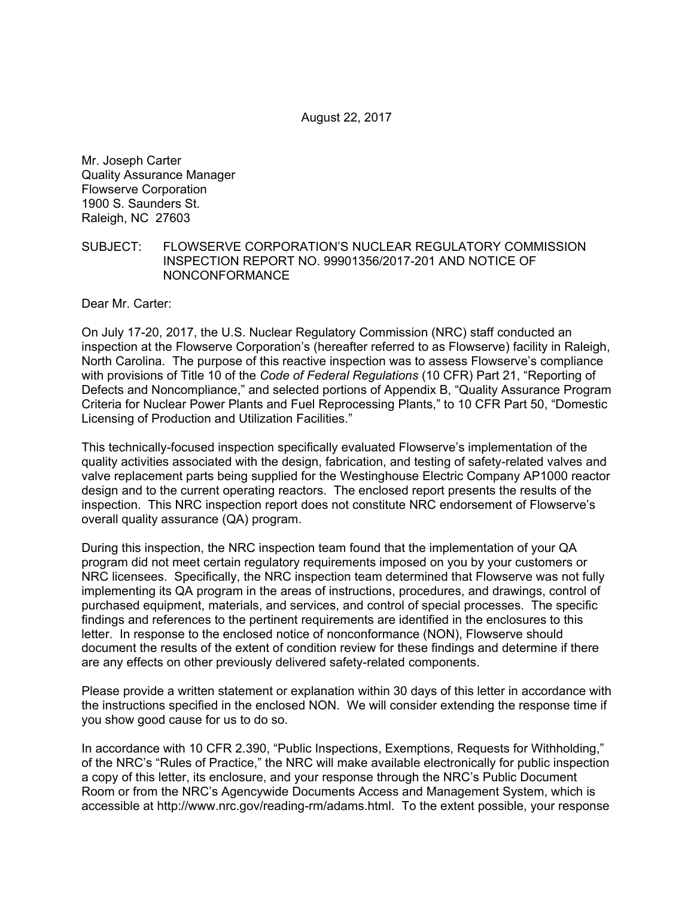Mr. Joseph Carter Quality Assurance Manager Flowserve Corporation 1900 S. Saunders St. Raleigh, NC 27603

#### SUBJECT: FLOWSERVE CORPORATION'S NUCLEAR REGULATORY COMMISSION INSPECTION REPORT NO. 99901356/2017-201 AND NOTICE OF NONCONFORMANCE

Dear Mr. Carter:

On July 17-20, 2017, the U.S. Nuclear Regulatory Commission (NRC) staff conducted an inspection at the Flowserve Corporation's (hereafter referred to as Flowserve) facility in Raleigh, North Carolina. The purpose of this reactive inspection was to assess Flowserve's compliance with provisions of Title 10 of the *Code of Federal Regulations* (10 CFR) Part 21, "Reporting of Defects and Noncompliance," and selected portions of Appendix B, "Quality Assurance Program Criteria for Nuclear Power Plants and Fuel Reprocessing Plants," to 10 CFR Part 50, "Domestic Licensing of Production and Utilization Facilities."

This technically-focused inspection specifically evaluated Flowserve's implementation of the quality activities associated with the design, fabrication, and testing of safety-related valves and valve replacement parts being supplied for the Westinghouse Electric Company AP1000 reactor design and to the current operating reactors. The enclosed report presents the results of the inspection. This NRC inspection report does not constitute NRC endorsement of Flowserve's overall quality assurance (QA) program.

During this inspection, the NRC inspection team found that the implementation of your QA program did not meet certain regulatory requirements imposed on you by your customers or NRC licensees. Specifically, the NRC inspection team determined that Flowserve was not fully implementing its QA program in the areas of instructions, procedures, and drawings, control of purchased equipment, materials, and services, and control of special processes. The specific findings and references to the pertinent requirements are identified in the enclosures to this letter. In response to the enclosed notice of nonconformance (NON), Flowserve should document the results of the extent of condition review for these findings and determine if there are any effects on other previously delivered safety-related components.

Please provide a written statement or explanation within 30 days of this letter in accordance with the instructions specified in the enclosed NON. We will consider extending the response time if you show good cause for us to do so.

In accordance with 10 CFR 2.390, "Public Inspections, Exemptions, Requests for Withholding," of the NRC's "Rules of Practice," the NRC will make available electronically for public inspection a copy of this letter, its enclosure, and your response through the NRC's Public Document Room or from the NRC's Agencywide Documents Access and Management System, which is accessible at http://www.nrc.gov/reading-rm/adams.html. To the extent possible, your response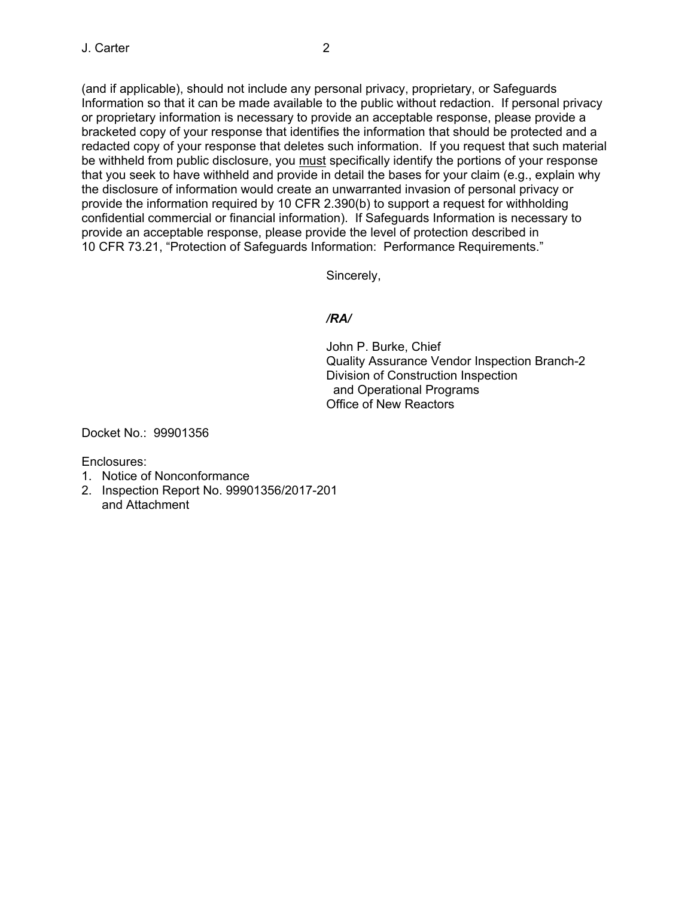(and if applicable), should not include any personal privacy, proprietary, or Safeguards Information so that it can be made available to the public without redaction. If personal privacy or proprietary information is necessary to provide an acceptable response, please provide a bracketed copy of your response that identifies the information that should be protected and a redacted copy of your response that deletes such information. If you request that such material be withheld from public disclosure, you must specifically identify the portions of your response that you seek to have withheld and provide in detail the bases for your claim (e.g., explain why the disclosure of information would create an unwarranted invasion of personal privacy or provide the information required by 10 CFR 2.390(b) to support a request for withholding confidential commercial or financial information). If Safeguards Information is necessary to provide an acceptable response, please provide the level of protection described in 10 CFR 73.21, "Protection of Safeguards Information: Performance Requirements."

Sincerely,

# */RA/*

John P. Burke, Chief Quality Assurance Vendor Inspection Branch-2 Division of Construction Inspection and Operational Programs Office of New Reactors

Docket No.: 99901356

Enclosures:

- 1. Notice of Nonconformance
- 2. Inspection Report No. 99901356/2017-201 and Attachment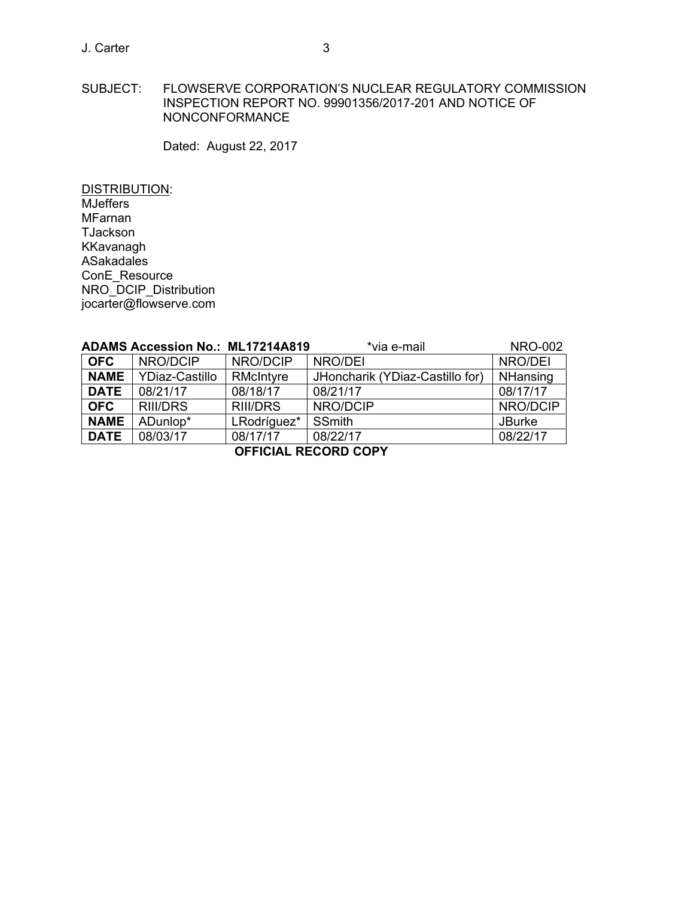SUBJECT: FLOWSERVE CORPORATION'S NUCLEAR REGULATORY COMMISSION INSPECTION REPORT NO. 99901356/2017-201 AND NOTICE OF NONCONFORMANCE

Dated: August 22, 2017

DISTRIBUTION: MJeffers MFarnan TJackson KKavanagh ASakadales ConE\_Resource NRO\_DCIP\_Distribution jocarter@flowserve.com

|                             | <b>ADAMS Accession No.: ML17214A819</b> |                 | *via e-mail                     | <b>NRO-002</b> |  |
|-----------------------------|-----------------------------------------|-----------------|---------------------------------|----------------|--|
| <b>OFC</b>                  | NRO/DCIP                                | NRO/DCIP        | NRO/DEI                         | NRO/DEI        |  |
| <b>NAME</b>                 | YDiaz-Castillo                          | RMcIntyre       | JHoncharik (YDiaz-Castillo for) | NHansing       |  |
| <b>DATE</b>                 | 08/21/17                                | 08/18/17        | 08/21/17                        | 08/17/17       |  |
| <b>OFC</b>                  | RIII/DRS                                | <b>RIII/DRS</b> | NRO/DCIP                        | NRO/DCIP       |  |
| <b>NAME</b>                 | ADunlop*                                | LRodríguez*     | SSmith                          | <b>JBurke</b>  |  |
| <b>DATE</b>                 | 08/03/17                                | 08/17/17        | 08/22/17                        | 08/22/17       |  |
| <b>OFFICIAL RECORD COPY</b> |                                         |                 |                                 |                |  |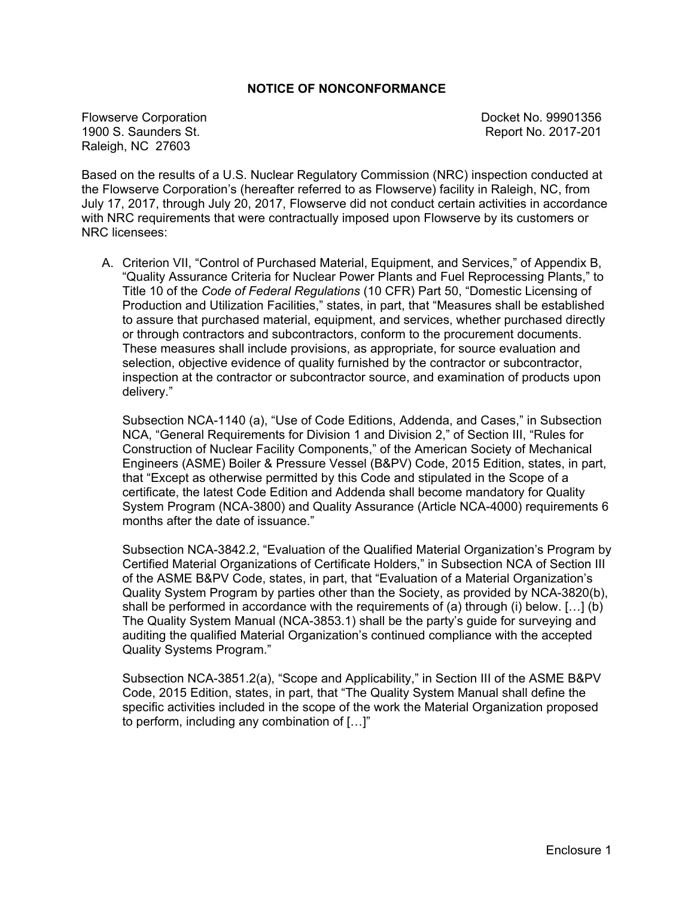# **NOTICE OF NONCONFORMANCE**

Flowserve Corporation Docket No. 99901356 1900 S. Saunders St. Report No. 2017-201 Raleigh, NC 27603

Based on the results of a U.S. Nuclear Regulatory Commission (NRC) inspection conducted at the Flowserve Corporation's (hereafter referred to as Flowserve) facility in Raleigh, NC, from July 17, 2017, through July 20, 2017, Flowserve did not conduct certain activities in accordance with NRC requirements that were contractually imposed upon Flowserve by its customers or NRC licensees:

A. Criterion VII, "Control of Purchased Material, Equipment, and Services," of Appendix B, "Quality Assurance Criteria for Nuclear Power Plants and Fuel Reprocessing Plants," to Title 10 of the *Code of Federal Regulations* (10 CFR) Part 50, "Domestic Licensing of Production and Utilization Facilities," states, in part, that "Measures shall be established to assure that purchased material, equipment, and services, whether purchased directly or through contractors and subcontractors, conform to the procurement documents. These measures shall include provisions, as appropriate, for source evaluation and selection, objective evidence of quality furnished by the contractor or subcontractor, inspection at the contractor or subcontractor source, and examination of products upon delivery."

Subsection NCA-1140 (a), "Use of Code Editions, Addenda, and Cases," in Subsection NCA, "General Requirements for Division 1 and Division 2," of Section III, "Rules for Construction of Nuclear Facility Components," of the American Society of Mechanical Engineers (ASME) Boiler & Pressure Vessel (B&PV) Code, 2015 Edition, states, in part, that "Except as otherwise permitted by this Code and stipulated in the Scope of a certificate, the latest Code Edition and Addenda shall become mandatory for Quality System Program (NCA-3800) and Quality Assurance (Article NCA-4000) requirements 6 months after the date of issuance."

Subsection NCA-3842.2, "Evaluation of the Qualified Material Organization's Program by Certified Material Organizations of Certificate Holders," in Subsection NCA of Section III of the ASME B&PV Code, states, in part, that "Evaluation of a Material Organization's Quality System Program by parties other than the Society, as provided by NCA-3820(b), shall be performed in accordance with the requirements of (a) through (i) below. […] (b) The Quality System Manual (NCA-3853.1) shall be the party's guide for surveying and auditing the qualified Material Organization's continued compliance with the accepted Quality Systems Program."

Subsection NCA-3851.2(a), "Scope and Applicability," in Section III of the ASME B&PV Code, 2015 Edition, states, in part, that "The Quality System Manual shall define the specific activities included in the scope of the work the Material Organization proposed to perform, including any combination of […]"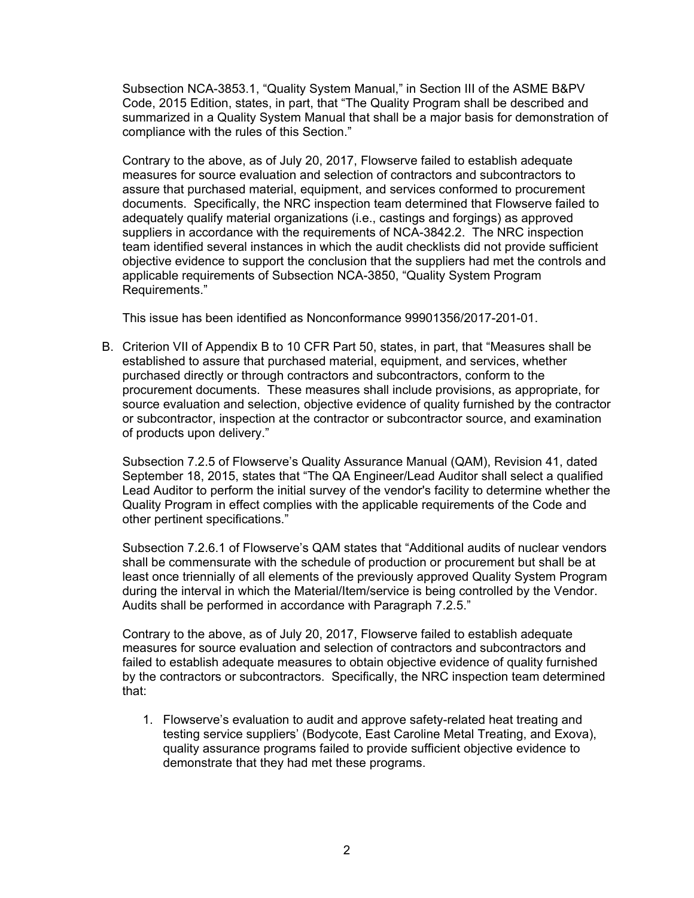Subsection NCA-3853.1, "Quality System Manual," in Section III of the ASME B&PV Code, 2015 Edition, states, in part, that "The Quality Program shall be described and summarized in a Quality System Manual that shall be a major basis for demonstration of compliance with the rules of this Section."

Contrary to the above, as of July 20, 2017, Flowserve failed to establish adequate measures for source evaluation and selection of contractors and subcontractors to assure that purchased material, equipment, and services conformed to procurement documents. Specifically, the NRC inspection team determined that Flowserve failed to adequately qualify material organizations (i.e., castings and forgings) as approved suppliers in accordance with the requirements of NCA-3842.2. The NRC inspection team identified several instances in which the audit checklists did not provide sufficient objective evidence to support the conclusion that the suppliers had met the controls and applicable requirements of Subsection NCA-3850, "Quality System Program Requirements."

This issue has been identified as Nonconformance 99901356/2017-201-01.

B. Criterion VII of Appendix B to 10 CFR Part 50, states, in part, that "Measures shall be established to assure that purchased material, equipment, and services, whether purchased directly or through contractors and subcontractors, conform to the procurement documents. These measures shall include provisions, as appropriate, for source evaluation and selection, objective evidence of quality furnished by the contractor or subcontractor, inspection at the contractor or subcontractor source, and examination of products upon delivery."

Subsection 7.2.5 of Flowserve's Quality Assurance Manual (QAM), Revision 41, dated September 18, 2015, states that "The QA Engineer/Lead Auditor shall select a qualified Lead Auditor to perform the initial survey of the vendor's facility to determine whether the Quality Program in effect complies with the applicable requirements of the Code and other pertinent specifications."

Subsection 7.2.6.1 of Flowserve's QAM states that "Additional audits of nuclear vendors shall be commensurate with the schedule of production or procurement but shall be at least once triennially of all elements of the previously approved Quality System Program during the interval in which the Material/Item/service is being controlled by the Vendor. Audits shall be performed in accordance with Paragraph 7.2.5."

Contrary to the above, as of July 20, 2017, Flowserve failed to establish adequate measures for source evaluation and selection of contractors and subcontractors and failed to establish adequate measures to obtain objective evidence of quality furnished by the contractors or subcontractors. Specifically, the NRC inspection team determined that:

1. Flowserve's evaluation to audit and approve safety-related heat treating and testing service suppliers' (Bodycote, East Caroline Metal Treating, and Exova), quality assurance programs failed to provide sufficient objective evidence to demonstrate that they had met these programs.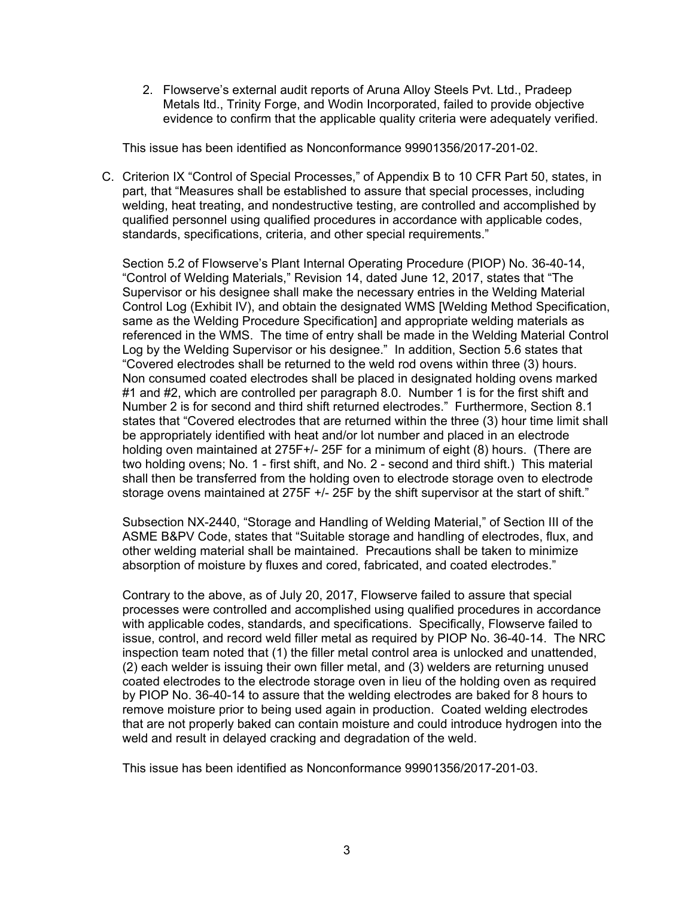2. Flowserve's external audit reports of Aruna Alloy Steels Pvt. Ltd., Pradeep Metals ltd., Trinity Forge, and Wodin Incorporated, failed to provide objective evidence to confirm that the applicable quality criteria were adequately verified.

This issue has been identified as Nonconformance 99901356/2017-201-02.

C. Criterion IX "Control of Special Processes," of Appendix B to 10 CFR Part 50, states, in part, that "Measures shall be established to assure that special processes, including welding, heat treating, and nondestructive testing, are controlled and accomplished by qualified personnel using qualified procedures in accordance with applicable codes, standards, specifications, criteria, and other special requirements."

Section 5.2 of Flowserve's Plant Internal Operating Procedure (PIOP) No. 36-40-14, "Control of Welding Materials," Revision 14, dated June 12, 2017, states that "The Supervisor or his designee shall make the necessary entries in the Welding Material Control Log (Exhibit IV), and obtain the designated WMS [Welding Method Specification, same as the Welding Procedure Specification] and appropriate welding materials as referenced in the WMS. The time of entry shall be made in the Welding Material Control Log by the Welding Supervisor or his designee." In addition, Section 5.6 states that "Covered electrodes shall be returned to the weld rod ovens within three (3) hours. Non consumed coated electrodes shall be placed in designated holding ovens marked #1 and #2, which are controlled per paragraph 8.0. Number 1 is for the first shift and Number 2 is for second and third shift returned electrodes." Furthermore, Section 8.1 states that "Covered electrodes that are returned within the three (3) hour time limit shall be appropriately identified with heat and/or lot number and placed in an electrode holding oven maintained at 275F+/- 25F for a minimum of eight (8) hours. (There are two holding ovens; No. 1 - first shift, and No. 2 - second and third shift.) This material shall then be transferred from the holding oven to electrode storage oven to electrode storage ovens maintained at 275F +/- 25F by the shift supervisor at the start of shift."

Subsection NX-2440, "Storage and Handling of Welding Material," of Section III of the ASME B&PV Code, states that "Suitable storage and handling of electrodes, flux, and other welding material shall be maintained. Precautions shall be taken to minimize absorption of moisture by fluxes and cored, fabricated, and coated electrodes."

Contrary to the above, as of July 20, 2017, Flowserve failed to assure that special processes were controlled and accomplished using qualified procedures in accordance with applicable codes, standards, and specifications. Specifically, Flowserve failed to issue, control, and record weld filler metal as required by PIOP No. 36-40-14. The NRC inspection team noted that (1) the filler metal control area is unlocked and unattended, (2) each welder is issuing their own filler metal, and (3) welders are returning unused coated electrodes to the electrode storage oven in lieu of the holding oven as required by PIOP No. 36-40-14 to assure that the welding electrodes are baked for 8 hours to remove moisture prior to being used again in production. Coated welding electrodes that are not properly baked can contain moisture and could introduce hydrogen into the weld and result in delayed cracking and degradation of the weld.

This issue has been identified as Nonconformance 99901356/2017-201-03.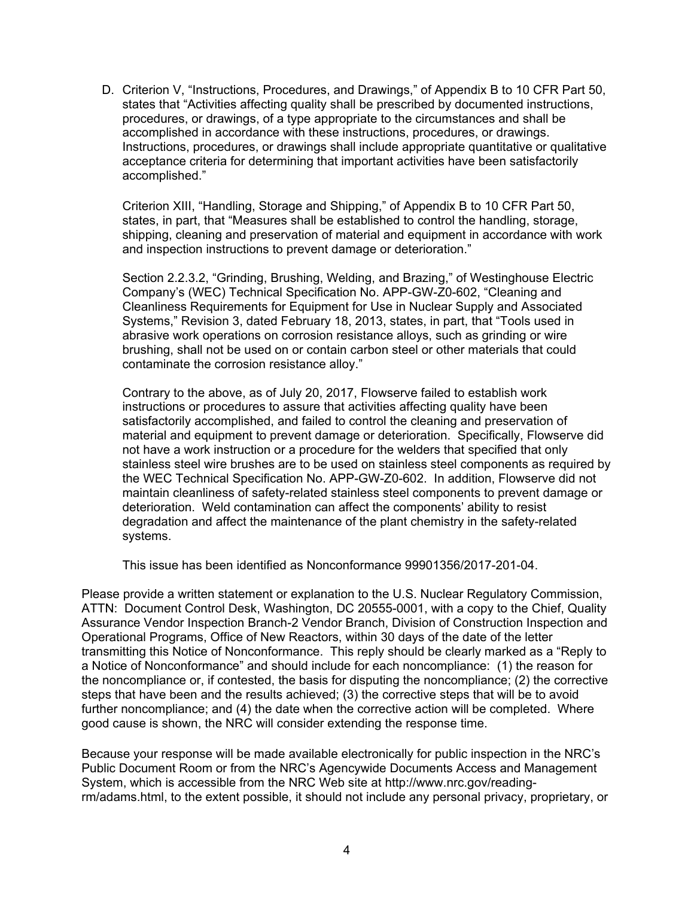D. Criterion V, "Instructions, Procedures, and Drawings," of Appendix B to 10 CFR Part 50, states that "Activities affecting quality shall be prescribed by documented instructions, procedures, or drawings, of a type appropriate to the circumstances and shall be accomplished in accordance with these instructions, procedures, or drawings. Instructions, procedures, or drawings shall include appropriate quantitative or qualitative acceptance criteria for determining that important activities have been satisfactorily accomplished."

Criterion XIII, "Handling, Storage and Shipping," of Appendix B to 10 CFR Part 50, states, in part, that "Measures shall be established to control the handling, storage, shipping, cleaning and preservation of material and equipment in accordance with work and inspection instructions to prevent damage or deterioration."

Section 2.2.3.2, "Grinding, Brushing, Welding, and Brazing," of Westinghouse Electric Company's (WEC) Technical Specification No. APP-GW-Z0-602, "Cleaning and Cleanliness Requirements for Equipment for Use in Nuclear Supply and Associated Systems," Revision 3, dated February 18, 2013, states, in part, that "Tools used in abrasive work operations on corrosion resistance alloys, such as grinding or wire brushing, shall not be used on or contain carbon steel or other materials that could contaminate the corrosion resistance alloy."

Contrary to the above, as of July 20, 2017, Flowserve failed to establish work instructions or procedures to assure that activities affecting quality have been satisfactorily accomplished, and failed to control the cleaning and preservation of material and equipment to prevent damage or deterioration. Specifically, Flowserve did not have a work instruction or a procedure for the welders that specified that only stainless steel wire brushes are to be used on stainless steel components as required by the WEC Technical Specification No. APP-GW-Z0-602. In addition, Flowserve did not maintain cleanliness of safety-related stainless steel components to prevent damage or deterioration. Weld contamination can affect the components' ability to resist degradation and affect the maintenance of the plant chemistry in the safety-related systems.

This issue has been identified as Nonconformance 99901356/2017-201-04.

Please provide a written statement or explanation to the U.S. Nuclear Regulatory Commission, ATTN: Document Control Desk, Washington, DC 20555-0001, with a copy to the Chief, Quality Assurance Vendor Inspection Branch-2 Vendor Branch, Division of Construction Inspection and Operational Programs, Office of New Reactors, within 30 days of the date of the letter transmitting this Notice of Nonconformance. This reply should be clearly marked as a "Reply to a Notice of Nonconformance" and should include for each noncompliance: (1) the reason for the noncompliance or, if contested, the basis for disputing the noncompliance; (2) the corrective steps that have been and the results achieved; (3) the corrective steps that will be to avoid further noncompliance; and (4) the date when the corrective action will be completed. Where good cause is shown, the NRC will consider extending the response time.

Because your response will be made available electronically for public inspection in the NRC's Public Document Room or from the NRC's Agencywide Documents Access and Management System, which is accessible from the NRC Web site at http://www.nrc.gov/readingrm/adams.html, to the extent possible, it should not include any personal privacy, proprietary, or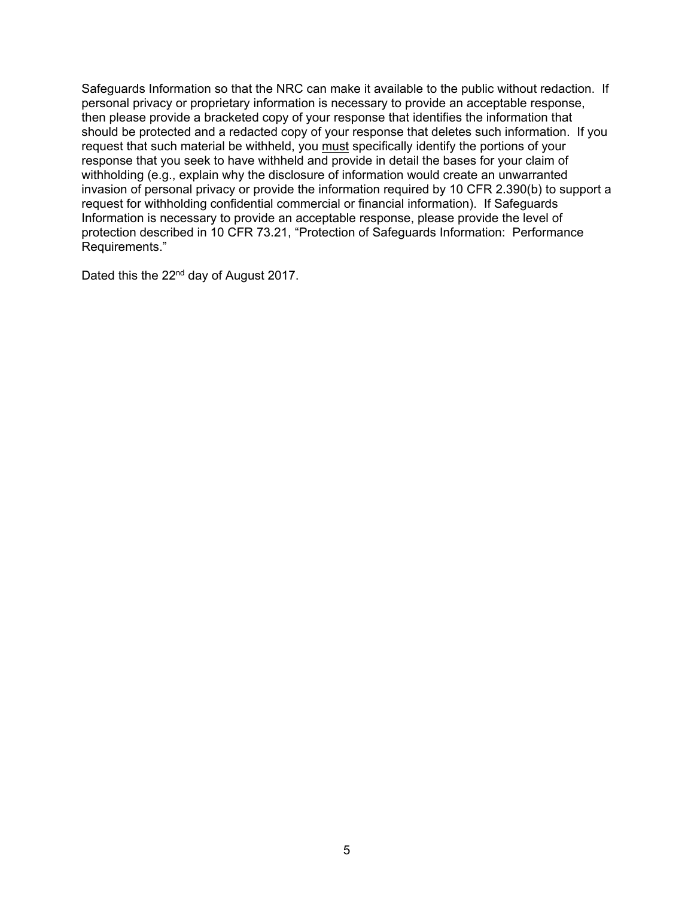Safeguards Information so that the NRC can make it available to the public without redaction. If personal privacy or proprietary information is necessary to provide an acceptable response, then please provide a bracketed copy of your response that identifies the information that should be protected and a redacted copy of your response that deletes such information. If you request that such material be withheld, you must specifically identify the portions of your response that you seek to have withheld and provide in detail the bases for your claim of withholding (e.g., explain why the disclosure of information would create an unwarranted invasion of personal privacy or provide the information required by 10 CFR 2.390(b) to support a request for withholding confidential commercial or financial information). If Safeguards Information is necessary to provide an acceptable response, please provide the level of protection described in 10 CFR 73.21, "Protection of Safeguards Information: Performance Requirements."

Dated this the 22<sup>nd</sup> day of August 2017.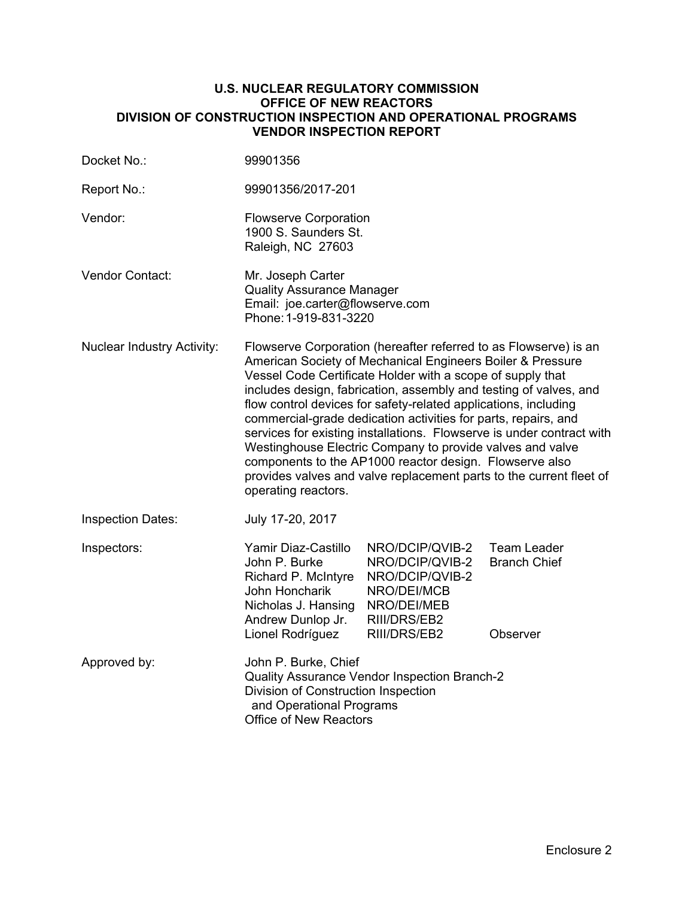# **U.S. NUCLEAR REGULATORY COMMISSION OFFICE OF NEW REACTORS DIVISION OF CONSTRUCTION INSPECTION AND OPERATIONAL PROGRAMS VENDOR INSPECTION REPORT**

| Docket No.:                       | 99901356                                                                                                                                                                                                                                                                                                                                                                                                                                                                                                                                                                                                                                                                                              |                                                                                                                     |                                           |  |  |
|-----------------------------------|-------------------------------------------------------------------------------------------------------------------------------------------------------------------------------------------------------------------------------------------------------------------------------------------------------------------------------------------------------------------------------------------------------------------------------------------------------------------------------------------------------------------------------------------------------------------------------------------------------------------------------------------------------------------------------------------------------|---------------------------------------------------------------------------------------------------------------------|-------------------------------------------|--|--|
| Report No.:                       | 99901356/2017-201                                                                                                                                                                                                                                                                                                                                                                                                                                                                                                                                                                                                                                                                                     |                                                                                                                     |                                           |  |  |
| Vendor:                           | <b>Flowserve Corporation</b><br>1900 S. Saunders St.<br>Raleigh, NC 27603                                                                                                                                                                                                                                                                                                                                                                                                                                                                                                                                                                                                                             |                                                                                                                     |                                           |  |  |
| <b>Vendor Contact:</b>            | Mr. Joseph Carter<br><b>Quality Assurance Manager</b><br>Email: joe.carter@flowserve.com<br>Phone: 1-919-831-3220                                                                                                                                                                                                                                                                                                                                                                                                                                                                                                                                                                                     |                                                                                                                     |                                           |  |  |
| <b>Nuclear Industry Activity:</b> | Flowserve Corporation (hereafter referred to as Flowserve) is an<br>American Society of Mechanical Engineers Boiler & Pressure<br>Vessel Code Certificate Holder with a scope of supply that<br>includes design, fabrication, assembly and testing of valves, and<br>flow control devices for safety-related applications, including<br>commercial-grade dedication activities for parts, repairs, and<br>services for existing installations. Flowserve is under contract with<br>Westinghouse Electric Company to provide valves and valve<br>components to the AP1000 reactor design. Flowserve also<br>provides valves and valve replacement parts to the current fleet of<br>operating reactors. |                                                                                                                     |                                           |  |  |
| <b>Inspection Dates:</b>          | July 17-20, 2017                                                                                                                                                                                                                                                                                                                                                                                                                                                                                                                                                                                                                                                                                      |                                                                                                                     |                                           |  |  |
| Inspectors:                       | Yamir Diaz-Castillo<br>John P. Burke<br>Richard P. McIntyre<br>John Honcharik<br>Nicholas J. Hansing<br>Andrew Dunlop Jr.                                                                                                                                                                                                                                                                                                                                                                                                                                                                                                                                                                             | NRO/DCIP/QVIB-2<br>NRO/DCIP/QVIB-2<br>NRO/DCIP/QVIB-2<br>NRO/DEI/MCB<br>NRO/DEI/MEB<br>RIII/DRS/EB2<br>RIII/DRS/EB2 | <b>Team Leader</b><br><b>Branch Chief</b> |  |  |
|                                   | Lionel Rodríguez                                                                                                                                                                                                                                                                                                                                                                                                                                                                                                                                                                                                                                                                                      |                                                                                                                     | Observer                                  |  |  |
| Approved by:                      | John P. Burke, Chief<br>Quality Assurance Vendor Inspection Branch-2<br>Division of Construction Inspection<br>and Operational Programs<br><b>Office of New Reactors</b>                                                                                                                                                                                                                                                                                                                                                                                                                                                                                                                              |                                                                                                                     |                                           |  |  |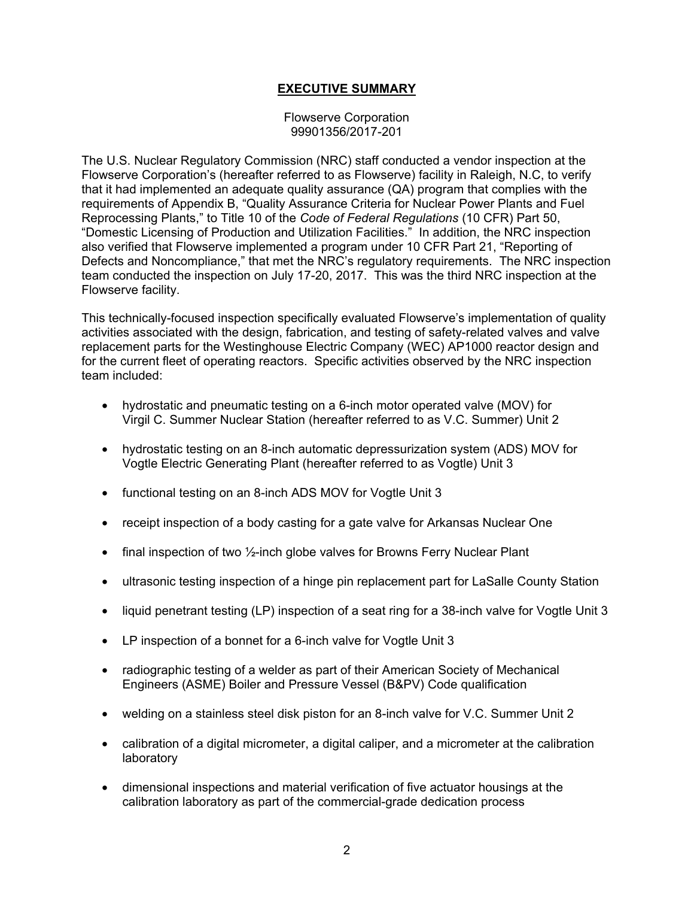# **EXECUTIVE SUMMARY**

Flowserve Corporation 99901356/2017-201

The U.S. Nuclear Regulatory Commission (NRC) staff conducted a vendor inspection at the Flowserve Corporation's (hereafter referred to as Flowserve) facility in Raleigh, N.C, to verify that it had implemented an adequate quality assurance (QA) program that complies with the requirements of Appendix B, "Quality Assurance Criteria for Nuclear Power Plants and Fuel Reprocessing Plants," to Title 10 of the *Code of Federal Regulations* (10 CFR) Part 50, "Domestic Licensing of Production and Utilization Facilities." In addition, the NRC inspection also verified that Flowserve implemented a program under 10 CFR Part 21, "Reporting of Defects and Noncompliance," that met the NRC's regulatory requirements. The NRC inspection team conducted the inspection on July 17-20, 2017. This was the third NRC inspection at the Flowserve facility.

This technically-focused inspection specifically evaluated Flowserve's implementation of quality activities associated with the design, fabrication, and testing of safety-related valves and valve replacement parts for the Westinghouse Electric Company (WEC) AP1000 reactor design and for the current fleet of operating reactors. Specific activities observed by the NRC inspection team included:

- hydrostatic and pneumatic testing on a 6-inch motor operated valve (MOV) for Virgil C. Summer Nuclear Station (hereafter referred to as V.C. Summer) Unit 2
- hydrostatic testing on an 8-inch automatic depressurization system (ADS) MOV for Vogtle Electric Generating Plant (hereafter referred to as Vogtle) Unit 3
- functional testing on an 8-inch ADS MOV for Vogtle Unit 3
- receipt inspection of a body casting for a gate valve for Arkansas Nuclear One
- final inspection of two  $\frac{1}{2}$ -inch globe valves for Browns Ferry Nuclear Plant
- ultrasonic testing inspection of a hinge pin replacement part for LaSalle County Station
- liquid penetrant testing (LP) inspection of a seat ring for a 38-inch valve for Vogtle Unit 3
- LP inspection of a bonnet for a 6-inch valve for Vogtle Unit 3
- radiographic testing of a welder as part of their American Society of Mechanical Engineers (ASME) Boiler and Pressure Vessel (B&PV) Code qualification
- welding on a stainless steel disk piston for an 8-inch valve for V.C. Summer Unit 2
- calibration of a digital micrometer, a digital caliper, and a micrometer at the calibration laboratory
- dimensional inspections and material verification of five actuator housings at the calibration laboratory as part of the commercial-grade dedication process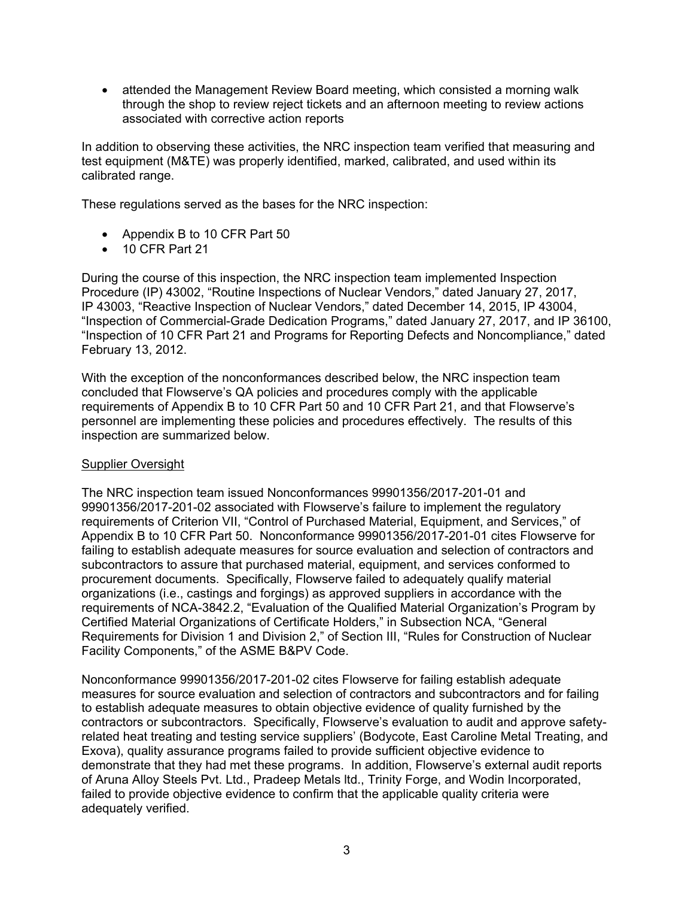• attended the Management Review Board meeting, which consisted a morning walk through the shop to review reject tickets and an afternoon meeting to review actions associated with corrective action reports

In addition to observing these activities, the NRC inspection team verified that measuring and test equipment (M&TE) was properly identified, marked, calibrated, and used within its calibrated range.

These regulations served as the bases for the NRC inspection:

- Appendix B to 10 CFR Part 50
- 10 CFR Part 21

During the course of this inspection, the NRC inspection team implemented Inspection Procedure (IP) 43002, "Routine Inspections of Nuclear Vendors," dated January 27, 2017, IP 43003, "Reactive Inspection of Nuclear Vendors," dated December 14, 2015, IP 43004, "Inspection of Commercial-Grade Dedication Programs," dated January 27, 2017, and IP 36100, "Inspection of 10 CFR Part 21 and Programs for Reporting Defects and Noncompliance," dated February 13, 2012.

With the exception of the nonconformances described below, the NRC inspection team concluded that Flowserve's QA policies and procedures comply with the applicable requirements of Appendix B to 10 CFR Part 50 and 10 CFR Part 21, and that Flowserve's personnel are implementing these policies and procedures effectively. The results of this inspection are summarized below.

# Supplier Oversight

The NRC inspection team issued Nonconformances 99901356/2017-201-01 and 99901356/2017-201-02 associated with Flowserve's failure to implement the regulatory requirements of Criterion VII, "Control of Purchased Material, Equipment, and Services," of Appendix B to 10 CFR Part 50. Nonconformance 99901356/2017-201-01 cites Flowserve for failing to establish adequate measures for source evaluation and selection of contractors and subcontractors to assure that purchased material, equipment, and services conformed to procurement documents. Specifically, Flowserve failed to adequately qualify material organizations (i.e., castings and forgings) as approved suppliers in accordance with the requirements of NCA-3842.2, "Evaluation of the Qualified Material Organization's Program by Certified Material Organizations of Certificate Holders," in Subsection NCA, "General Requirements for Division 1 and Division 2," of Section III, "Rules for Construction of Nuclear Facility Components," of the ASME B&PV Code.

Nonconformance 99901356/2017-201-02 cites Flowserve for failing establish adequate measures for source evaluation and selection of contractors and subcontractors and for failing to establish adequate measures to obtain objective evidence of quality furnished by the contractors or subcontractors. Specifically, Flowserve's evaluation to audit and approve safetyrelated heat treating and testing service suppliers' (Bodycote, East Caroline Metal Treating, and Exova), quality assurance programs failed to provide sufficient objective evidence to demonstrate that they had met these programs. In addition, Flowserve's external audit reports of Aruna Alloy Steels Pvt. Ltd., Pradeep Metals ltd., Trinity Forge, and Wodin Incorporated, failed to provide objective evidence to confirm that the applicable quality criteria were adequately verified.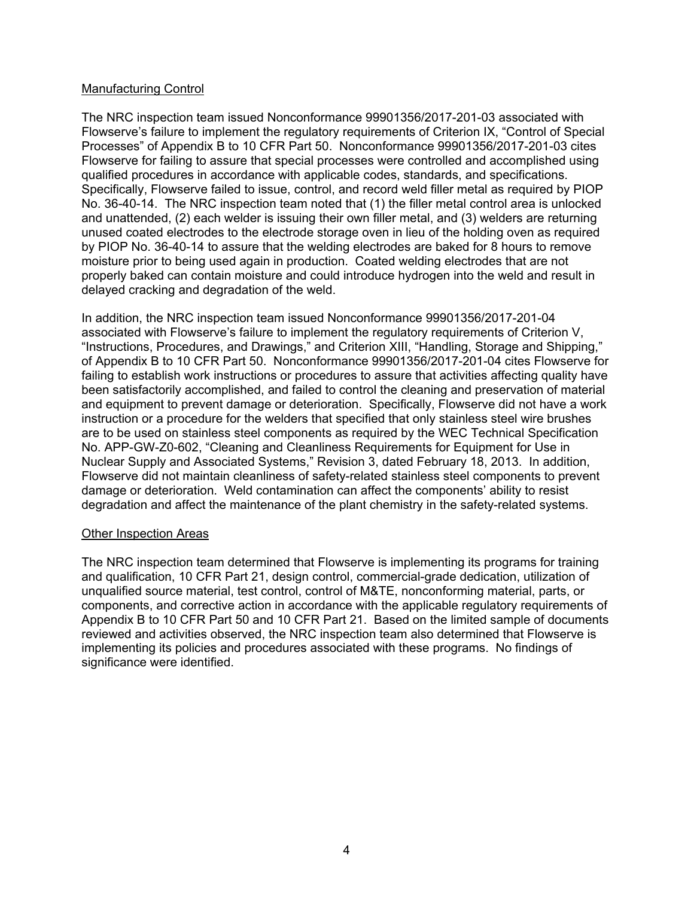# Manufacturing Control

The NRC inspection team issued Nonconformance 99901356/2017-201-03 associated with Flowserve's failure to implement the regulatory requirements of Criterion IX, "Control of Special Processes" of Appendix B to 10 CFR Part 50. Nonconformance 99901356/2017-201-03 cites Flowserve for failing to assure that special processes were controlled and accomplished using qualified procedures in accordance with applicable codes, standards, and specifications. Specifically, Flowserve failed to issue, control, and record weld filler metal as required by PIOP No. 36-40-14. The NRC inspection team noted that (1) the filler metal control area is unlocked and unattended, (2) each welder is issuing their own filler metal, and (3) welders are returning unused coated electrodes to the electrode storage oven in lieu of the holding oven as required by PIOP No. 36-40-14 to assure that the welding electrodes are baked for 8 hours to remove moisture prior to being used again in production. Coated welding electrodes that are not properly baked can contain moisture and could introduce hydrogen into the weld and result in delayed cracking and degradation of the weld.

In addition, the NRC inspection team issued Nonconformance 99901356/2017-201-04 associated with Flowserve's failure to implement the regulatory requirements of Criterion V, "Instructions, Procedures, and Drawings," and Criterion XIII, "Handling, Storage and Shipping," of Appendix B to 10 CFR Part 50. Nonconformance 99901356/2017-201-04 cites Flowserve for failing to establish work instructions or procedures to assure that activities affecting quality have been satisfactorily accomplished, and failed to control the cleaning and preservation of material and equipment to prevent damage or deterioration. Specifically, Flowserve did not have a work instruction or a procedure for the welders that specified that only stainless steel wire brushes are to be used on stainless steel components as required by the WEC Technical Specification No. APP-GW-Z0-602, "Cleaning and Cleanliness Requirements for Equipment for Use in Nuclear Supply and Associated Systems," Revision 3, dated February 18, 2013. In addition, Flowserve did not maintain cleanliness of safety-related stainless steel components to prevent damage or deterioration. Weld contamination can affect the components' ability to resist degradation and affect the maintenance of the plant chemistry in the safety-related systems.

#### Other Inspection Areas

The NRC inspection team determined that Flowserve is implementing its programs for training and qualification, 10 CFR Part 21, design control, commercial-grade dedication, utilization of unqualified source material, test control, control of M&TE, nonconforming material, parts, or components, and corrective action in accordance with the applicable regulatory requirements of Appendix B to 10 CFR Part 50 and 10 CFR Part 21. Based on the limited sample of documents reviewed and activities observed, the NRC inspection team also determined that Flowserve is implementing its policies and procedures associated with these programs. No findings of significance were identified.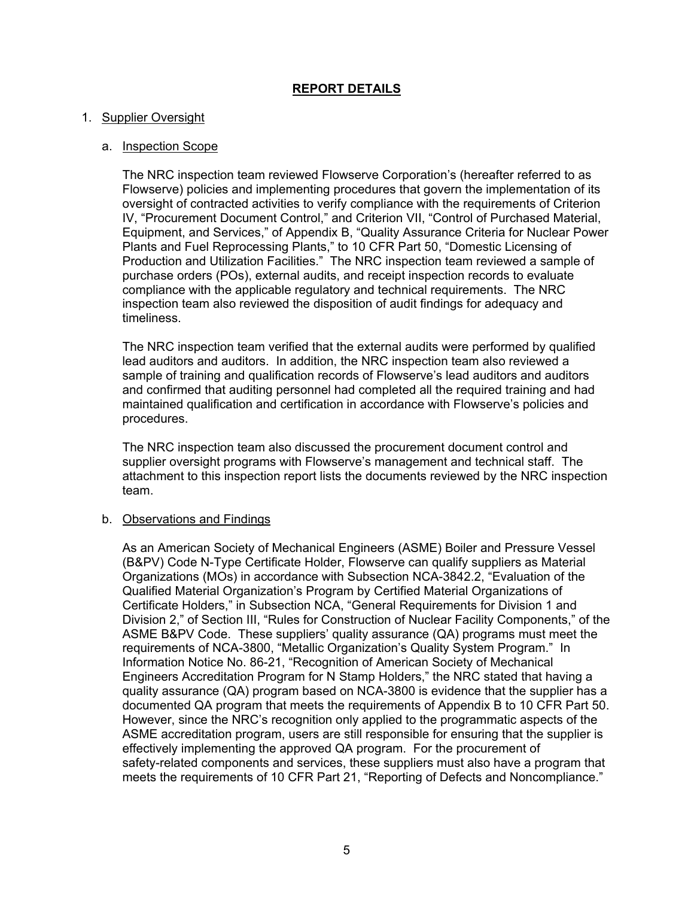# **REPORT DETAILS**

# 1. Supplier Oversight

# a. Inspection Scope

The NRC inspection team reviewed Flowserve Corporation's (hereafter referred to as Flowserve) policies and implementing procedures that govern the implementation of its oversight of contracted activities to verify compliance with the requirements of Criterion IV, "Procurement Document Control," and Criterion VII, "Control of Purchased Material, Equipment, and Services," of Appendix B, "Quality Assurance Criteria for Nuclear Power Plants and Fuel Reprocessing Plants," to 10 CFR Part 50, "Domestic Licensing of Production and Utilization Facilities." The NRC inspection team reviewed a sample of purchase orders (POs), external audits, and receipt inspection records to evaluate compliance with the applicable regulatory and technical requirements. The NRC inspection team also reviewed the disposition of audit findings for adequacy and timeliness.

The NRC inspection team verified that the external audits were performed by qualified lead auditors and auditors. In addition, the NRC inspection team also reviewed a sample of training and qualification records of Flowserve's lead auditors and auditors and confirmed that auditing personnel had completed all the required training and had maintained qualification and certification in accordance with Flowserve's policies and procedures.

The NRC inspection team also discussed the procurement document control and supplier oversight programs with Flowserve's management and technical staff. The attachment to this inspection report lists the documents reviewed by the NRC inspection team.

#### b. Observations and Findings

As an American Society of Mechanical Engineers (ASME) Boiler and Pressure Vessel (B&PV) Code N-Type Certificate Holder, Flowserve can qualify suppliers as Material Organizations (MOs) in accordance with Subsection NCA-3842.2, "Evaluation of the Qualified Material Organization's Program by Certified Material Organizations of Certificate Holders," in Subsection NCA, "General Requirements for Division 1 and Division 2," of Section III, "Rules for Construction of Nuclear Facility Components," of the ASME B&PV Code. These suppliers' quality assurance (QA) programs must meet the requirements of NCA-3800, "Metallic Organization's Quality System Program." In Information Notice No. 86-21, "Recognition of American Society of Mechanical Engineers Accreditation Program for N Stamp Holders," the NRC stated that having a quality assurance (QA) program based on NCA-3800 is evidence that the supplier has a documented QA program that meets the requirements of Appendix B to 10 CFR Part 50. However, since the NRC's recognition only applied to the programmatic aspects of the ASME accreditation program, users are still responsible for ensuring that the supplier is effectively implementing the approved QA program. For the procurement of safety-related components and services, these suppliers must also have a program that meets the requirements of 10 CFR Part 21, "Reporting of Defects and Noncompliance."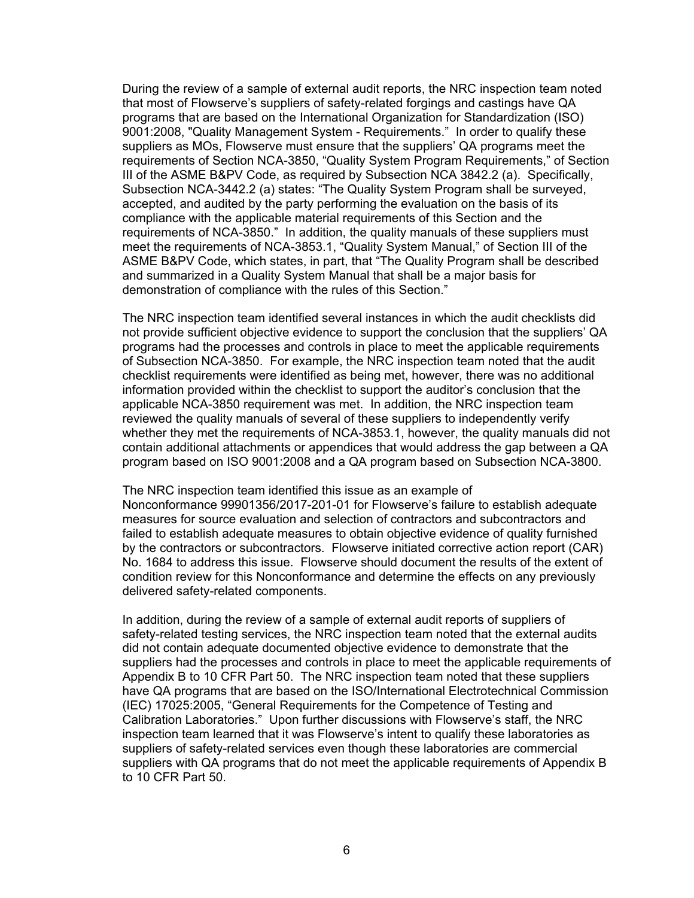During the review of a sample of external audit reports, the NRC inspection team noted that most of Flowserve's suppliers of safety-related forgings and castings have QA programs that are based on the International Organization for Standardization (ISO) 9001:2008, "Quality Management System - Requirements." In order to qualify these suppliers as MOs, Flowserve must ensure that the suppliers' QA programs meet the requirements of Section NCA-3850, "Quality System Program Requirements," of Section III of the ASME B&PV Code, as required by Subsection NCA 3842.2 (a). Specifically, Subsection NCA-3442.2 (a) states: "The Quality System Program shall be surveyed, accepted, and audited by the party performing the evaluation on the basis of its compliance with the applicable material requirements of this Section and the requirements of NCA-3850." In addition, the quality manuals of these suppliers must meet the requirements of NCA-3853.1, "Quality System Manual," of Section III of the ASME B&PV Code, which states, in part, that "The Quality Program shall be described and summarized in a Quality System Manual that shall be a major basis for demonstration of compliance with the rules of this Section."

The NRC inspection team identified several instances in which the audit checklists did not provide sufficient objective evidence to support the conclusion that the suppliers' QA programs had the processes and controls in place to meet the applicable requirements of Subsection NCA-3850. For example, the NRC inspection team noted that the audit checklist requirements were identified as being met, however, there was no additional information provided within the checklist to support the auditor's conclusion that the applicable NCA-3850 requirement was met. In addition, the NRC inspection team reviewed the quality manuals of several of these suppliers to independently verify whether they met the requirements of NCA-3853.1, however, the quality manuals did not contain additional attachments or appendices that would address the gap between a QA program based on ISO 9001:2008 and a QA program based on Subsection NCA-3800.

The NRC inspection team identified this issue as an example of Nonconformance 99901356/2017-201-01 for Flowserve's failure to establish adequate measures for source evaluation and selection of contractors and subcontractors and failed to establish adequate measures to obtain objective evidence of quality furnished by the contractors or subcontractors. Flowserve initiated corrective action report (CAR) No. 1684 to address this issue. Flowserve should document the results of the extent of condition review for this Nonconformance and determine the effects on any previously delivered safety-related components.

In addition, during the review of a sample of external audit reports of suppliers of safety-related testing services, the NRC inspection team noted that the external audits did not contain adequate documented objective evidence to demonstrate that the suppliers had the processes and controls in place to meet the applicable requirements of Appendix B to 10 CFR Part 50. The NRC inspection team noted that these suppliers have QA programs that are based on the ISO/International Electrotechnical Commission (IEC) 17025:2005, "General Requirements for the Competence of Testing and Calibration Laboratories." Upon further discussions with Flowserve's staff, the NRC inspection team learned that it was Flowserve's intent to qualify these laboratories as suppliers of safety-related services even though these laboratories are commercial suppliers with QA programs that do not meet the applicable requirements of Appendix B to 10 CFR Part 50.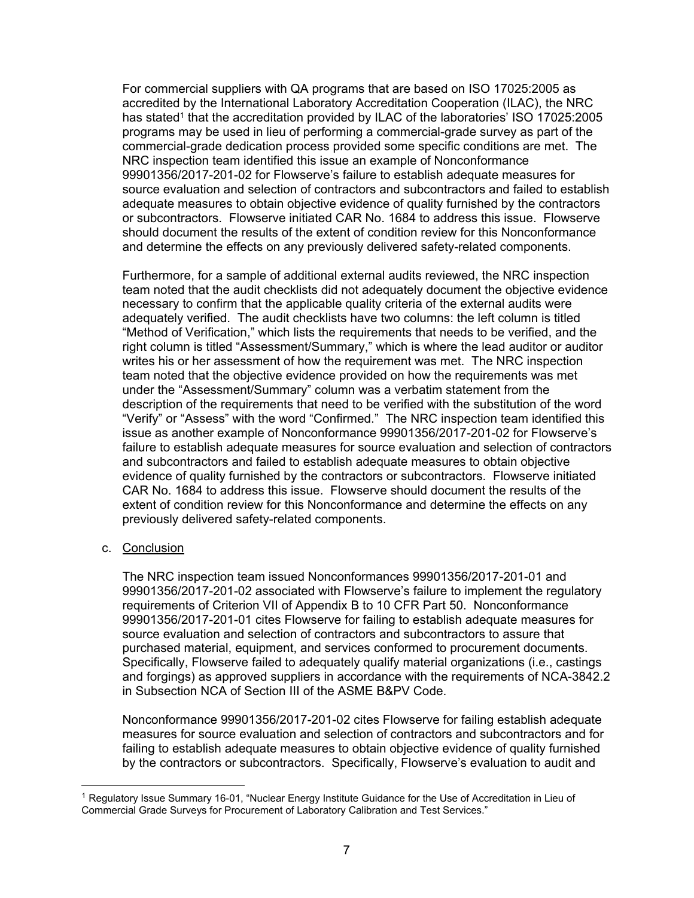For commercial suppliers with QA programs that are based on ISO 17025:2005 as accredited by the International Laboratory Accreditation Cooperation (ILAC), the NRC has stated<sup>1</sup> that the accreditation provided by ILAC of the laboratories' ISO 17025:2005 programs may be used in lieu of performing a commercial-grade survey as part of the commercial-grade dedication process provided some specific conditions are met. The NRC inspection team identified this issue an example of Nonconformance 99901356/2017-201-02 for Flowserve's failure to establish adequate measures for source evaluation and selection of contractors and subcontractors and failed to establish adequate measures to obtain objective evidence of quality furnished by the contractors or subcontractors. Flowserve initiated CAR No. 1684 to address this issue. Flowserve should document the results of the extent of condition review for this Nonconformance and determine the effects on any previously delivered safety-related components.

Furthermore, for a sample of additional external audits reviewed, the NRC inspection team noted that the audit checklists did not adequately document the objective evidence necessary to confirm that the applicable quality criteria of the external audits were adequately verified. The audit checklists have two columns: the left column is titled "Method of Verification," which lists the requirements that needs to be verified, and the right column is titled "Assessment/Summary," which is where the lead auditor or auditor writes his or her assessment of how the requirement was met. The NRC inspection team noted that the objective evidence provided on how the requirements was met under the "Assessment/Summary" column was a verbatim statement from the description of the requirements that need to be verified with the substitution of the word "Verify" or "Assess" with the word "Confirmed." The NRC inspection team identified this issue as another example of Nonconformance 99901356/2017-201-02 for Flowserve's failure to establish adequate measures for source evaluation and selection of contractors and subcontractors and failed to establish adequate measures to obtain objective evidence of quality furnished by the contractors or subcontractors. Flowserve initiated CAR No. 1684 to address this issue. Flowserve should document the results of the extent of condition review for this Nonconformance and determine the effects on any previously delivered safety-related components.

#### c. Conclusion

The NRC inspection team issued Nonconformances 99901356/2017-201-01 and 99901356/2017-201-02 associated with Flowserve's failure to implement the regulatory requirements of Criterion VII of Appendix B to 10 CFR Part 50. Nonconformance 99901356/2017-201-01 cites Flowserve for failing to establish adequate measures for source evaluation and selection of contractors and subcontractors to assure that purchased material, equipment, and services conformed to procurement documents. Specifically, Flowserve failed to adequately qualify material organizations (i.e., castings and forgings) as approved suppliers in accordance with the requirements of NCA-3842.2 in Subsection NCA of Section III of the ASME B&PV Code.

Nonconformance 99901356/2017-201-02 cites Flowserve for failing establish adequate measures for source evaluation and selection of contractors and subcontractors and for failing to establish adequate measures to obtain objective evidence of quality furnished by the contractors or subcontractors. Specifically, Flowserve's evaluation to audit and

<sup>&</sup>lt;sup>1</sup> Regulatory Issue Summary 16-01, "Nuclear Energy Institute Guidance for the Use of Accreditation in Lieu of Commercial Grade Surveys for Procurement of Laboratory Calibration and Test Services."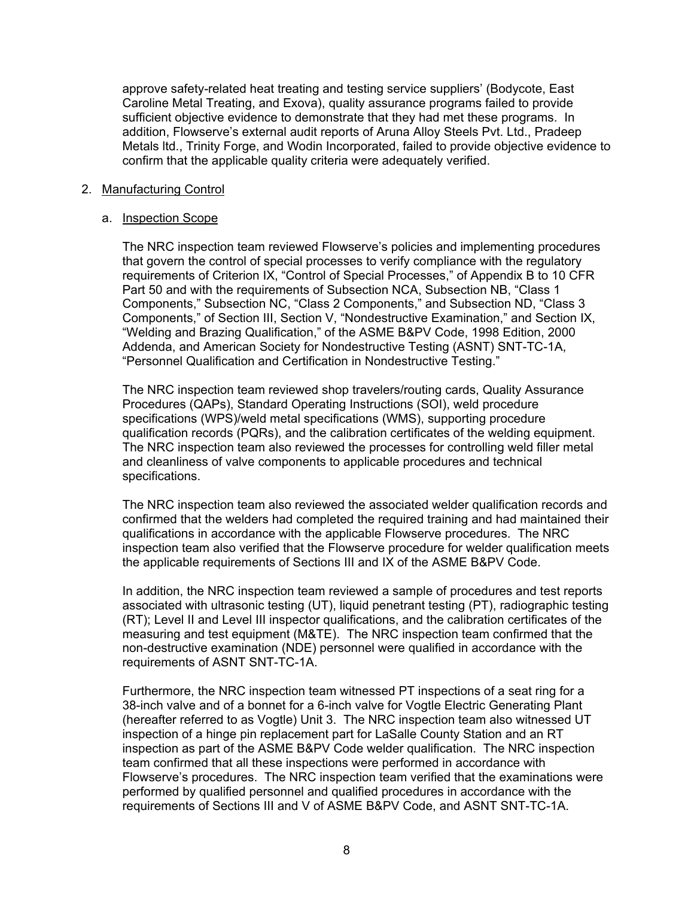approve safety-related heat treating and testing service suppliers' (Bodycote, East Caroline Metal Treating, and Exova), quality assurance programs failed to provide sufficient objective evidence to demonstrate that they had met these programs. In addition, Flowserve's external audit reports of Aruna Alloy Steels Pvt. Ltd., Pradeep Metals ltd., Trinity Forge, and Wodin Incorporated, failed to provide objective evidence to confirm that the applicable quality criteria were adequately verified.

#### 2. Manufacturing Control

# a. Inspection Scope

The NRC inspection team reviewed Flowserve's policies and implementing procedures that govern the control of special processes to verify compliance with the regulatory requirements of Criterion IX, "Control of Special Processes," of Appendix B to 10 CFR Part 50 and with the requirements of Subsection NCA, Subsection NB, "Class 1 Components," Subsection NC, "Class 2 Components," and Subsection ND, "Class 3 Components," of Section III, Section V, "Nondestructive Examination," and Section IX, "Welding and Brazing Qualification," of the ASME B&PV Code, 1998 Edition, 2000 Addenda, and American Society for Nondestructive Testing (ASNT) SNT-TC-1A, "Personnel Qualification and Certification in Nondestructive Testing."

The NRC inspection team reviewed shop travelers/routing cards, Quality Assurance Procedures (QAPs), Standard Operating Instructions (SOI), weld procedure specifications (WPS)/weld metal specifications (WMS), supporting procedure qualification records (PQRs), and the calibration certificates of the welding equipment. The NRC inspection team also reviewed the processes for controlling weld filler metal and cleanliness of valve components to applicable procedures and technical specifications.

The NRC inspection team also reviewed the associated welder qualification records and confirmed that the welders had completed the required training and had maintained their qualifications in accordance with the applicable Flowserve procedures. The NRC inspection team also verified that the Flowserve procedure for welder qualification meets the applicable requirements of Sections III and IX of the ASME B&PV Code.

In addition, the NRC inspection team reviewed a sample of procedures and test reports associated with ultrasonic testing (UT), liquid penetrant testing (PT), radiographic testing (RT); Level II and Level III inspector qualifications, and the calibration certificates of the measuring and test equipment (M&TE). The NRC inspection team confirmed that the non-destructive examination (NDE) personnel were qualified in accordance with the requirements of ASNT SNT-TC-1A.

Furthermore, the NRC inspection team witnessed PT inspections of a seat ring for a 38-inch valve and of a bonnet for a 6-inch valve for Vogtle Electric Generating Plant (hereafter referred to as Vogtle) Unit 3. The NRC inspection team also witnessed UT inspection of a hinge pin replacement part for LaSalle County Station and an RT inspection as part of the ASME B&PV Code welder qualification. The NRC inspection team confirmed that all these inspections were performed in accordance with Flowserve's procedures. The NRC inspection team verified that the examinations were performed by qualified personnel and qualified procedures in accordance with the requirements of Sections III and V of ASME B&PV Code, and ASNT SNT-TC-1A.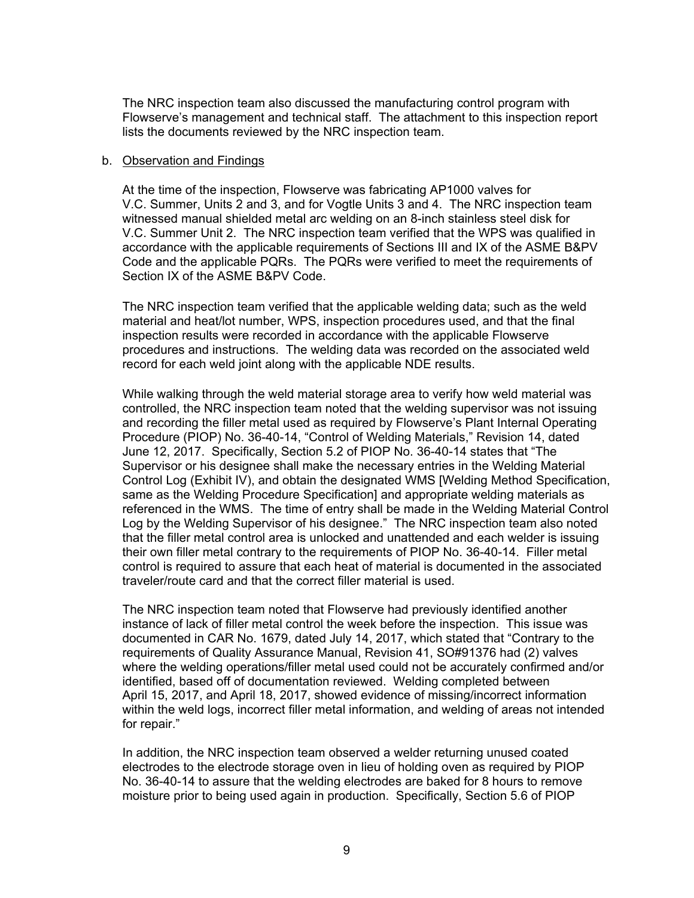The NRC inspection team also discussed the manufacturing control program with Flowserve's management and technical staff. The attachment to this inspection report lists the documents reviewed by the NRC inspection team.

#### b. Observation and Findings

At the time of the inspection, Flowserve was fabricating AP1000 valves for V.C. Summer, Units 2 and 3, and for Vogtle Units 3 and 4. The NRC inspection team witnessed manual shielded metal arc welding on an 8-inch stainless steel disk for V.C. Summer Unit 2. The NRC inspection team verified that the WPS was qualified in accordance with the applicable requirements of Sections III and IX of the ASME B&PV Code and the applicable PQRs. The PQRs were verified to meet the requirements of Section IX of the ASME B&PV Code.

The NRC inspection team verified that the applicable welding data; such as the weld material and heat/lot number, WPS, inspection procedures used, and that the final inspection results were recorded in accordance with the applicable Flowserve procedures and instructions. The welding data was recorded on the associated weld record for each weld joint along with the applicable NDE results.

While walking through the weld material storage area to verify how weld material was controlled, the NRC inspection team noted that the welding supervisor was not issuing and recording the filler metal used as required by Flowserve's Plant Internal Operating Procedure (PIOP) No. 36-40-14, "Control of Welding Materials," Revision 14, dated June 12, 2017. Specifically, Section 5.2 of PIOP No. 36-40-14 states that "The Supervisor or his designee shall make the necessary entries in the Welding Material Control Log (Exhibit IV), and obtain the designated WMS [Welding Method Specification, same as the Welding Procedure Specification] and appropriate welding materials as referenced in the WMS. The time of entry shall be made in the Welding Material Control Log by the Welding Supervisor of his designee." The NRC inspection team also noted that the filler metal control area is unlocked and unattended and each welder is issuing their own filler metal contrary to the requirements of PIOP No. 36-40-14. Filler metal control is required to assure that each heat of material is documented in the associated traveler/route card and that the correct filler material is used.

The NRC inspection team noted that Flowserve had previously identified another instance of lack of filler metal control the week before the inspection. This issue was documented in CAR No. 1679, dated July 14, 2017, which stated that "Contrary to the requirements of Quality Assurance Manual, Revision 41, SO#91376 had (2) valves where the welding operations/filler metal used could not be accurately confirmed and/or identified, based off of documentation reviewed. Welding completed between April 15, 2017, and April 18, 2017, showed evidence of missing/incorrect information within the weld logs, incorrect filler metal information, and welding of areas not intended for repair."

In addition, the NRC inspection team observed a welder returning unused coated electrodes to the electrode storage oven in lieu of holding oven as required by PIOP No. 36-40-14 to assure that the welding electrodes are baked for 8 hours to remove moisture prior to being used again in production. Specifically, Section 5.6 of PIOP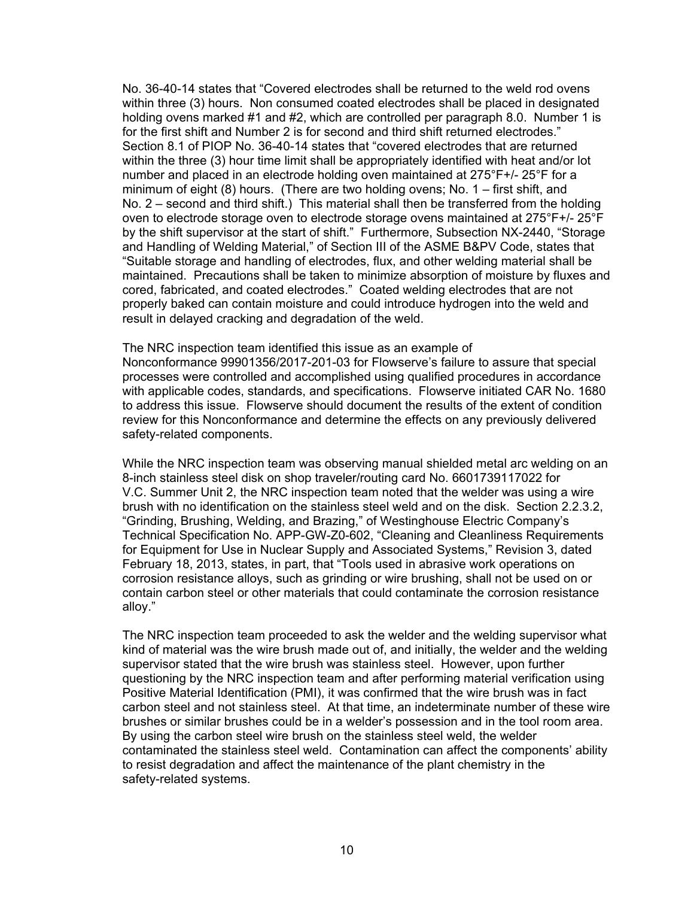No. 36-40-14 states that "Covered electrodes shall be returned to the weld rod ovens within three (3) hours. Non consumed coated electrodes shall be placed in designated holding ovens marked #1 and #2, which are controlled per paragraph 8.0. Number 1 is for the first shift and Number 2 is for second and third shift returned electrodes." Section 8.1 of PIOP No. 36-40-14 states that "covered electrodes that are returned within the three (3) hour time limit shall be appropriately identified with heat and/or lot number and placed in an electrode holding oven maintained at 275°F+/- 25°F for a minimum of eight (8) hours. (There are two holding ovens; No. 1 – first shift, and No. 2 – second and third shift.) This material shall then be transferred from the holding oven to electrode storage oven to electrode storage ovens maintained at 275°F+/- 25°F by the shift supervisor at the start of shift." Furthermore, Subsection NX-2440, "Storage and Handling of Welding Material," of Section III of the ASME B&PV Code, states that "Suitable storage and handling of electrodes, flux, and other welding material shall be maintained. Precautions shall be taken to minimize absorption of moisture by fluxes and cored, fabricated, and coated electrodes." Coated welding electrodes that are not properly baked can contain moisture and could introduce hydrogen into the weld and result in delayed cracking and degradation of the weld.

The NRC inspection team identified this issue as an example of Nonconformance 99901356/2017-201-03 for Flowserve's failure to assure that special processes were controlled and accomplished using qualified procedures in accordance with applicable codes, standards, and specifications. Flowserve initiated CAR No. 1680 to address this issue. Flowserve should document the results of the extent of condition review for this Nonconformance and determine the effects on any previously delivered safety-related components.

While the NRC inspection team was observing manual shielded metal arc welding on an 8-inch stainless steel disk on shop traveler/routing card No. 6601739117022 for V.C. Summer Unit 2, the NRC inspection team noted that the welder was using a wire brush with no identification on the stainless steel weld and on the disk. Section 2.2.3.2, "Grinding, Brushing, Welding, and Brazing," of Westinghouse Electric Company's Technical Specification No. APP-GW-Z0-602, "Cleaning and Cleanliness Requirements for Equipment for Use in Nuclear Supply and Associated Systems," Revision 3, dated February 18, 2013, states, in part, that "Tools used in abrasive work operations on corrosion resistance alloys, such as grinding or wire brushing, shall not be used on or contain carbon steel or other materials that could contaminate the corrosion resistance alloy."

The NRC inspection team proceeded to ask the welder and the welding supervisor what kind of material was the wire brush made out of, and initially, the welder and the welding supervisor stated that the wire brush was stainless steel. However, upon further questioning by the NRC inspection team and after performing material verification using Positive Material Identification (PMI), it was confirmed that the wire brush was in fact carbon steel and not stainless steel. At that time, an indeterminate number of these wire brushes or similar brushes could be in a welder's possession and in the tool room area. By using the carbon steel wire brush on the stainless steel weld, the welder contaminated the stainless steel weld. Contamination can affect the components' ability to resist degradation and affect the maintenance of the plant chemistry in the safety-related systems.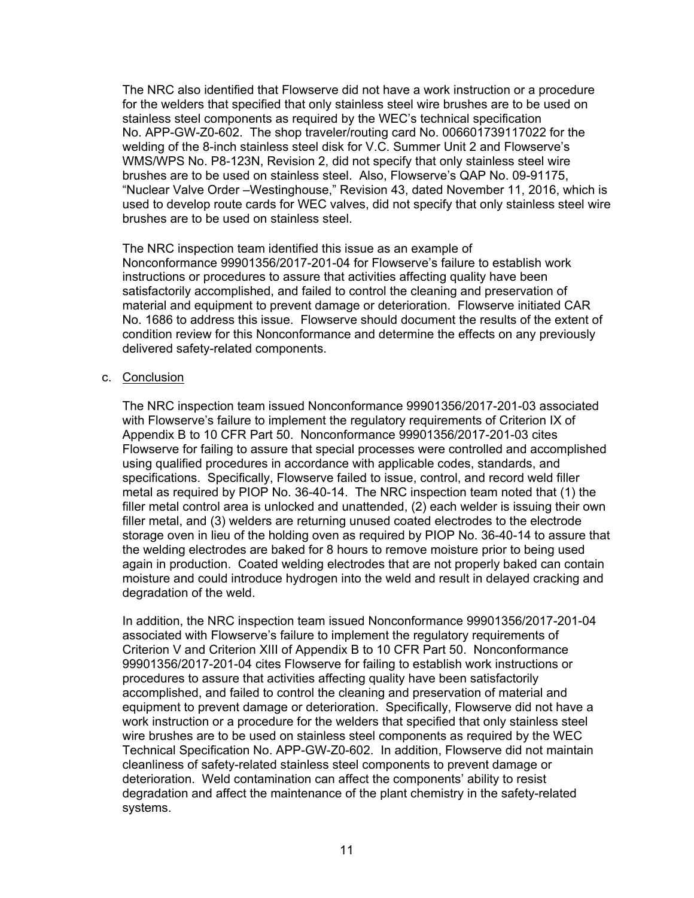The NRC also identified that Flowserve did not have a work instruction or a procedure for the welders that specified that only stainless steel wire brushes are to be used on stainless steel components as required by the WEC's technical specification No. APP-GW-Z0-602. The shop traveler/routing card No. 006601739117022 for the welding of the 8-inch stainless steel disk for V.C. Summer Unit 2 and Flowserve's WMS/WPS No. P8-123N, Revision 2, did not specify that only stainless steel wire brushes are to be used on stainless steel. Also, Flowserve's QAP No. 09-91175, "Nuclear Valve Order –Westinghouse," Revision 43, dated November 11, 2016, which is used to develop route cards for WEC valves, did not specify that only stainless steel wire brushes are to be used on stainless steel.

The NRC inspection team identified this issue as an example of Nonconformance 99901356/2017-201-04 for Flowserve's failure to establish work instructions or procedures to assure that activities affecting quality have been satisfactorily accomplished, and failed to control the cleaning and preservation of material and equipment to prevent damage or deterioration. Flowserve initiated CAR No. 1686 to address this issue. Flowserve should document the results of the extent of condition review for this Nonconformance and determine the effects on any previously delivered safety-related components.

#### c. Conclusion

The NRC inspection team issued Nonconformance 99901356/2017-201-03 associated with Flowserve's failure to implement the regulatory requirements of Criterion IX of Appendix B to 10 CFR Part 50. Nonconformance 99901356/2017-201-03 cites Flowserve for failing to assure that special processes were controlled and accomplished using qualified procedures in accordance with applicable codes, standards, and specifications. Specifically, Flowserve failed to issue, control, and record weld filler metal as required by PIOP No. 36-40-14. The NRC inspection team noted that (1) the filler metal control area is unlocked and unattended, (2) each welder is issuing their own filler metal, and (3) welders are returning unused coated electrodes to the electrode storage oven in lieu of the holding oven as required by PIOP No. 36-40-14 to assure that the welding electrodes are baked for 8 hours to remove moisture prior to being used again in production. Coated welding electrodes that are not properly baked can contain moisture and could introduce hydrogen into the weld and result in delayed cracking and degradation of the weld.

In addition, the NRC inspection team issued Nonconformance 99901356/2017-201-04 associated with Flowserve's failure to implement the regulatory requirements of Criterion V and Criterion XIII of Appendix B to 10 CFR Part 50. Nonconformance 99901356/2017-201-04 cites Flowserve for failing to establish work instructions or procedures to assure that activities affecting quality have been satisfactorily accomplished, and failed to control the cleaning and preservation of material and equipment to prevent damage or deterioration. Specifically, Flowserve did not have a work instruction or a procedure for the welders that specified that only stainless steel wire brushes are to be used on stainless steel components as required by the WEC Technical Specification No. APP-GW-Z0-602. In addition, Flowserve did not maintain cleanliness of safety-related stainless steel components to prevent damage or deterioration. Weld contamination can affect the components' ability to resist degradation and affect the maintenance of the plant chemistry in the safety-related systems.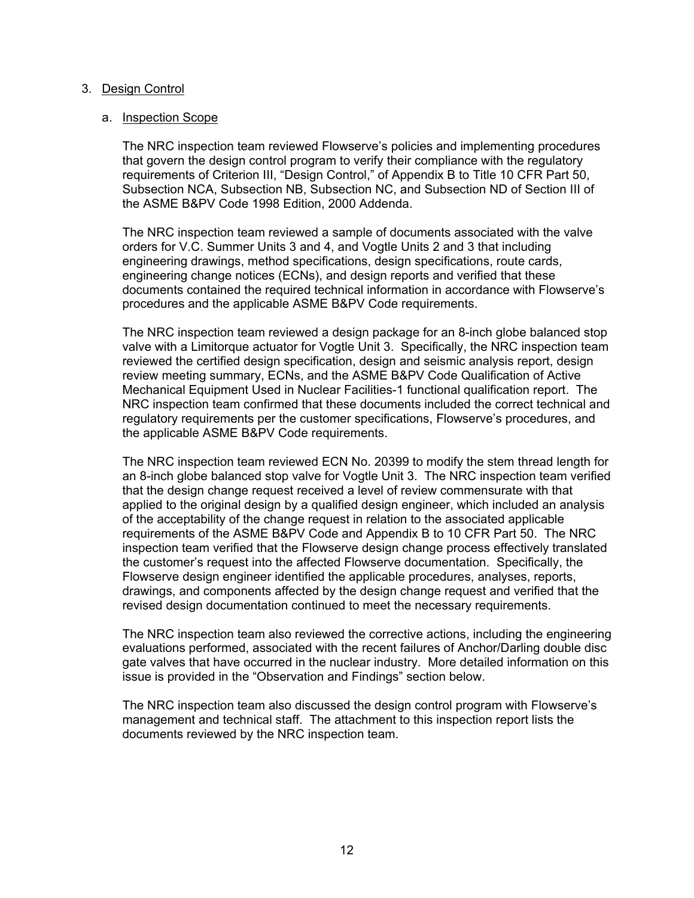## 3. Design Control

## a. Inspection Scope

The NRC inspection team reviewed Flowserve's policies and implementing procedures that govern the design control program to verify their compliance with the regulatory requirements of Criterion III, "Design Control," of Appendix B to Title 10 CFR Part 50, Subsection NCA, Subsection NB, Subsection NC, and Subsection ND of Section III of the ASME B&PV Code 1998 Edition, 2000 Addenda.

The NRC inspection team reviewed a sample of documents associated with the valve orders for V.C. Summer Units 3 and 4, and Vogtle Units 2 and 3 that including engineering drawings, method specifications, design specifications, route cards, engineering change notices (ECNs), and design reports and verified that these documents contained the required technical information in accordance with Flowserve's procedures and the applicable ASME B&PV Code requirements.

The NRC inspection team reviewed a design package for an 8-inch globe balanced stop valve with a Limitorque actuator for Vogtle Unit 3. Specifically, the NRC inspection team reviewed the certified design specification, design and seismic analysis report, design review meeting summary, ECNs, and the ASME B&PV Code Qualification of Active Mechanical Equipment Used in Nuclear Facilities-1 functional qualification report. The NRC inspection team confirmed that these documents included the correct technical and regulatory requirements per the customer specifications, Flowserve's procedures, and the applicable ASME B&PV Code requirements.

The NRC inspection team reviewed ECN No. 20399 to modify the stem thread length for an 8-inch globe balanced stop valve for Vogtle Unit 3. The NRC inspection team verified that the design change request received a level of review commensurate with that applied to the original design by a qualified design engineer, which included an analysis of the acceptability of the change request in relation to the associated applicable requirements of the ASME B&PV Code and Appendix B to 10 CFR Part 50. The NRC inspection team verified that the Flowserve design change process effectively translated the customer's request into the affected Flowserve documentation. Specifically, the Flowserve design engineer identified the applicable procedures, analyses, reports, drawings, and components affected by the design change request and verified that the revised design documentation continued to meet the necessary requirements.

The NRC inspection team also reviewed the corrective actions, including the engineering evaluations performed, associated with the recent failures of Anchor/Darling double disc gate valves that have occurred in the nuclear industry. More detailed information on this issue is provided in the "Observation and Findings" section below.

The NRC inspection team also discussed the design control program with Flowserve's management and technical staff. The attachment to this inspection report lists the documents reviewed by the NRC inspection team.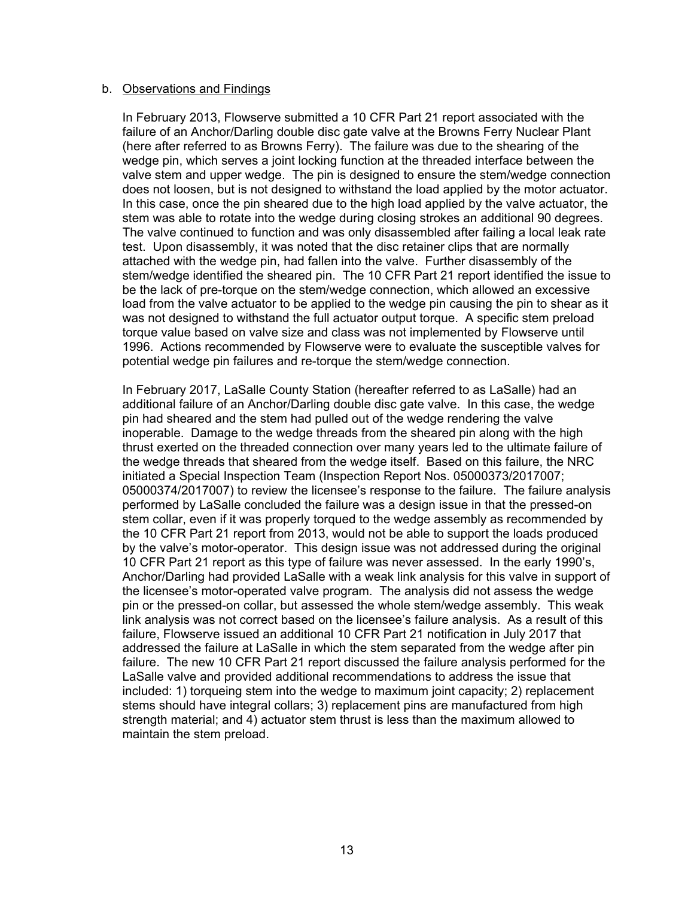#### b. Observations and Findings

In February 2013, Flowserve submitted a 10 CFR Part 21 report associated with the failure of an Anchor/Darling double disc gate valve at the Browns Ferry Nuclear Plant (here after referred to as Browns Ferry). The failure was due to the shearing of the wedge pin, which serves a joint locking function at the threaded interface between the valve stem and upper wedge. The pin is designed to ensure the stem/wedge connection does not loosen, but is not designed to withstand the load applied by the motor actuator. In this case, once the pin sheared due to the high load applied by the valve actuator, the stem was able to rotate into the wedge during closing strokes an additional 90 degrees. The valve continued to function and was only disassembled after failing a local leak rate test. Upon disassembly, it was noted that the disc retainer clips that are normally attached with the wedge pin, had fallen into the valve. Further disassembly of the stem/wedge identified the sheared pin. The 10 CFR Part 21 report identified the issue to be the lack of pre-torque on the stem/wedge connection, which allowed an excessive load from the valve actuator to be applied to the wedge pin causing the pin to shear as it was not designed to withstand the full actuator output torque. A specific stem preload torque value based on valve size and class was not implemented by Flowserve until 1996. Actions recommended by Flowserve were to evaluate the susceptible valves for potential wedge pin failures and re-torque the stem/wedge connection.

In February 2017, LaSalle County Station (hereafter referred to as LaSalle) had an additional failure of an Anchor/Darling double disc gate valve. In this case, the wedge pin had sheared and the stem had pulled out of the wedge rendering the valve inoperable. Damage to the wedge threads from the sheared pin along with the high thrust exerted on the threaded connection over many years led to the ultimate failure of the wedge threads that sheared from the wedge itself. Based on this failure, the NRC initiated a Special Inspection Team (Inspection Report Nos. 05000373/2017007; 05000374/2017007) to review the licensee's response to the failure. The failure analysis performed by LaSalle concluded the failure was a design issue in that the pressed-on stem collar, even if it was properly torqued to the wedge assembly as recommended by the 10 CFR Part 21 report from 2013, would not be able to support the loads produced by the valve's motor-operator. This design issue was not addressed during the original 10 CFR Part 21 report as this type of failure was never assessed. In the early 1990's, Anchor/Darling had provided LaSalle with a weak link analysis for this valve in support of the licensee's motor-operated valve program. The analysis did not assess the wedge pin or the pressed-on collar, but assessed the whole stem/wedge assembly. This weak link analysis was not correct based on the licensee's failure analysis. As a result of this failure, Flowserve issued an additional 10 CFR Part 21 notification in July 2017 that addressed the failure at LaSalle in which the stem separated from the wedge after pin failure. The new 10 CFR Part 21 report discussed the failure analysis performed for the LaSalle valve and provided additional recommendations to address the issue that included: 1) torqueing stem into the wedge to maximum joint capacity; 2) replacement stems should have integral collars; 3) replacement pins are manufactured from high strength material; and 4) actuator stem thrust is less than the maximum allowed to maintain the stem preload.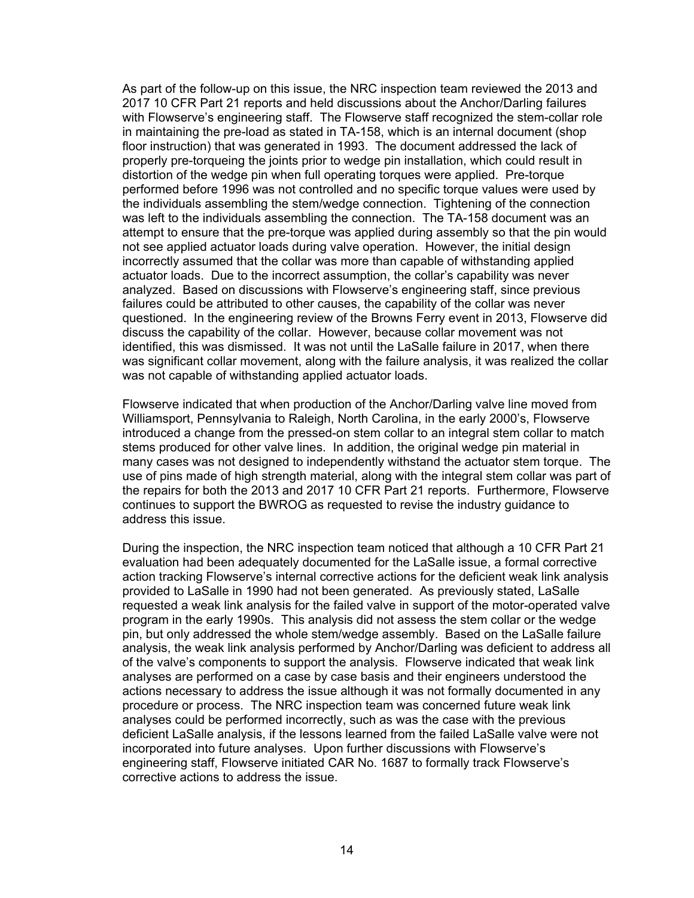As part of the follow-up on this issue, the NRC inspection team reviewed the 2013 and 2017 10 CFR Part 21 reports and held discussions about the Anchor/Darling failures with Flowserve's engineering staff. The Flowserve staff recognized the stem-collar role in maintaining the pre-load as stated in TA-158, which is an internal document (shop floor instruction) that was generated in 1993. The document addressed the lack of properly pre-torqueing the joints prior to wedge pin installation, which could result in distortion of the wedge pin when full operating torques were applied. Pre-torque performed before 1996 was not controlled and no specific torque values were used by the individuals assembling the stem/wedge connection. Tightening of the connection was left to the individuals assembling the connection. The TA-158 document was an attempt to ensure that the pre-torque was applied during assembly so that the pin would not see applied actuator loads during valve operation. However, the initial design incorrectly assumed that the collar was more than capable of withstanding applied actuator loads. Due to the incorrect assumption, the collar's capability was never analyzed. Based on discussions with Flowserve's engineering staff, since previous failures could be attributed to other causes, the capability of the collar was never questioned. In the engineering review of the Browns Ferry event in 2013, Flowserve did discuss the capability of the collar. However, because collar movement was not identified, this was dismissed. It was not until the LaSalle failure in 2017, when there was significant collar movement, along with the failure analysis, it was realized the collar was not capable of withstanding applied actuator loads.

Flowserve indicated that when production of the Anchor/Darling valve line moved from Williamsport, Pennsylvania to Raleigh, North Carolina, in the early 2000's, Flowserve introduced a change from the pressed-on stem collar to an integral stem collar to match stems produced for other valve lines. In addition, the original wedge pin material in many cases was not designed to independently withstand the actuator stem torque. The use of pins made of high strength material, along with the integral stem collar was part of the repairs for both the 2013 and 2017 10 CFR Part 21 reports. Furthermore, Flowserve continues to support the BWROG as requested to revise the industry guidance to address this issue.

During the inspection, the NRC inspection team noticed that although a 10 CFR Part 21 evaluation had been adequately documented for the LaSalle issue, a formal corrective action tracking Flowserve's internal corrective actions for the deficient weak link analysis provided to LaSalle in 1990 had not been generated. As previously stated, LaSalle requested a weak link analysis for the failed valve in support of the motor-operated valve program in the early 1990s. This analysis did not assess the stem collar or the wedge pin, but only addressed the whole stem/wedge assembly. Based on the LaSalle failure analysis, the weak link analysis performed by Anchor/Darling was deficient to address all of the valve's components to support the analysis. Flowserve indicated that weak link analyses are performed on a case by case basis and their engineers understood the actions necessary to address the issue although it was not formally documented in any procedure or process. The NRC inspection team was concerned future weak link analyses could be performed incorrectly, such as was the case with the previous deficient LaSalle analysis, if the lessons learned from the failed LaSalle valve were not incorporated into future analyses. Upon further discussions with Flowserve's engineering staff, Flowserve initiated CAR No. 1687 to formally track Flowserve's corrective actions to address the issue.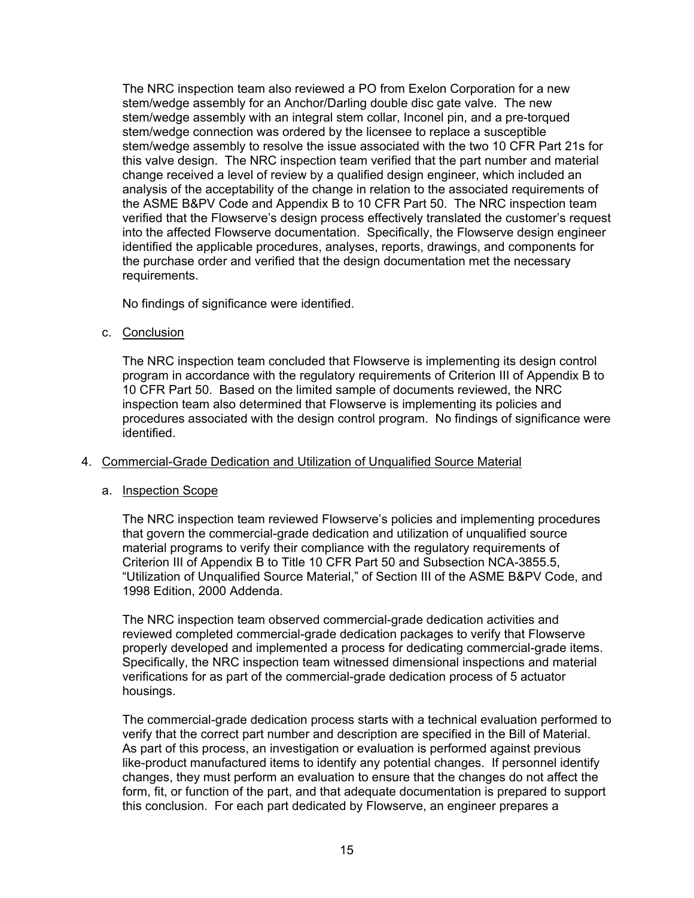The NRC inspection team also reviewed a PO from Exelon Corporation for a new stem/wedge assembly for an Anchor/Darling double disc gate valve. The new stem/wedge assembly with an integral stem collar, Inconel pin, and a pre-torqued stem/wedge connection was ordered by the licensee to replace a susceptible stem/wedge assembly to resolve the issue associated with the two 10 CFR Part 21s for this valve design. The NRC inspection team verified that the part number and material change received a level of review by a qualified design engineer, which included an analysis of the acceptability of the change in relation to the associated requirements of the ASME B&PV Code and Appendix B to 10 CFR Part 50. The NRC inspection team verified that the Flowserve's design process effectively translated the customer's request into the affected Flowserve documentation. Specifically, the Flowserve design engineer identified the applicable procedures, analyses, reports, drawings, and components for the purchase order and verified that the design documentation met the necessary requirements.

No findings of significance were identified.

c. Conclusion

The NRC inspection team concluded that Flowserve is implementing its design control program in accordance with the regulatory requirements of Criterion III of Appendix B to 10 CFR Part 50. Based on the limited sample of documents reviewed, the NRC inspection team also determined that Flowserve is implementing its policies and procedures associated with the design control program. No findings of significance were identified.

# 4. Commercial-Grade Dedication and Utilization of Unqualified Source Material

# a. Inspection Scope

The NRC inspection team reviewed Flowserve's policies and implementing procedures that govern the commercial-grade dedication and utilization of unqualified source material programs to verify their compliance with the regulatory requirements of Criterion III of Appendix B to Title 10 CFR Part 50 and Subsection NCA-3855.5, "Utilization of Unqualified Source Material," of Section III of the ASME B&PV Code, and 1998 Edition, 2000 Addenda.

The NRC inspection team observed commercial-grade dedication activities and reviewed completed commercial-grade dedication packages to verify that Flowserve properly developed and implemented a process for dedicating commercial-grade items. Specifically, the NRC inspection team witnessed dimensional inspections and material verifications for as part of the commercial-grade dedication process of 5 actuator housings.

The commercial-grade dedication process starts with a technical evaluation performed to verify that the correct part number and description are specified in the Bill of Material. As part of this process, an investigation or evaluation is performed against previous like-product manufactured items to identify any potential changes. If personnel identify changes, they must perform an evaluation to ensure that the changes do not affect the form, fit, or function of the part, and that adequate documentation is prepared to support this conclusion. For each part dedicated by Flowserve, an engineer prepares a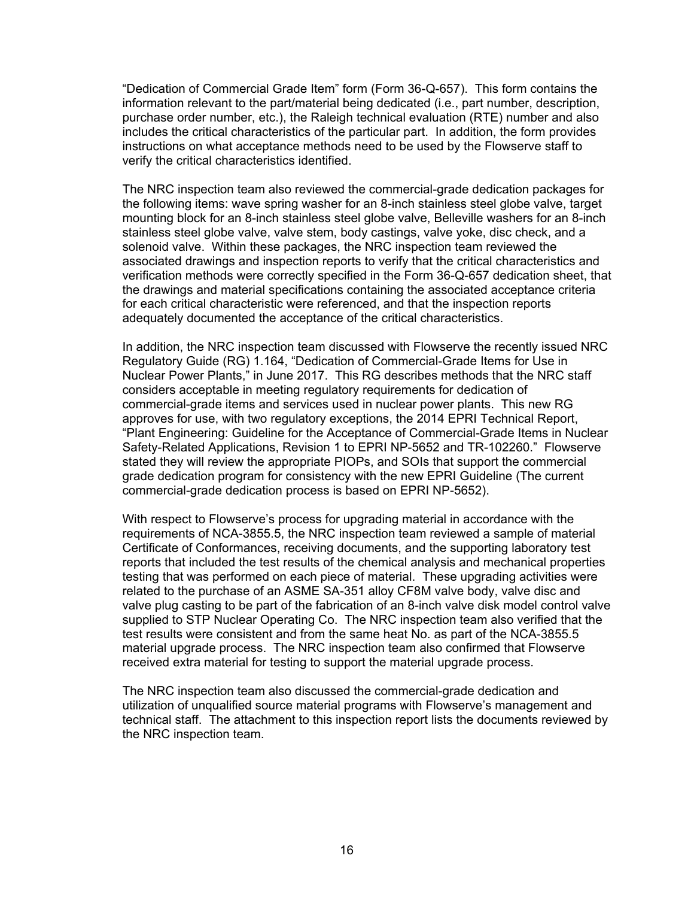"Dedication of Commercial Grade Item" form (Form 36-Q-657). This form contains the information relevant to the part/material being dedicated (i.e., part number, description, purchase order number, etc.), the Raleigh technical evaluation (RTE) number and also includes the critical characteristics of the particular part. In addition, the form provides instructions on what acceptance methods need to be used by the Flowserve staff to verify the critical characteristics identified.

The NRC inspection team also reviewed the commercial-grade dedication packages for the following items: wave spring washer for an 8-inch stainless steel globe valve, target mounting block for an 8-inch stainless steel globe valve, Belleville washers for an 8-inch stainless steel globe valve, valve stem, body castings, valve yoke, disc check, and a solenoid valve. Within these packages, the NRC inspection team reviewed the associated drawings and inspection reports to verify that the critical characteristics and verification methods were correctly specified in the Form 36-Q-657 dedication sheet, that the drawings and material specifications containing the associated acceptance criteria for each critical characteristic were referenced, and that the inspection reports adequately documented the acceptance of the critical characteristics.

In addition, the NRC inspection team discussed with Flowserve the recently issued NRC Regulatory Guide (RG) 1.164, "Dedication of Commercial-Grade Items for Use in Nuclear Power Plants," in June 2017. This RG describes methods that the NRC staff considers acceptable in meeting regulatory requirements for dedication of commercial-grade items and services used in nuclear power plants. This new RG approves for use, with two regulatory exceptions, the 2014 EPRI Technical Report, "Plant Engineering: Guideline for the Acceptance of Commercial-Grade Items in Nuclear Safety-Related Applications, Revision 1 to EPRI NP-5652 and TR-102260." Flowserve stated they will review the appropriate PIOPs, and SOIs that support the commercial grade dedication program for consistency with the new EPRI Guideline (The current commercial-grade dedication process is based on EPRI NP-5652).

With respect to Flowserve's process for upgrading material in accordance with the requirements of NCA-3855.5, the NRC inspection team reviewed a sample of material Certificate of Conformances, receiving documents, and the supporting laboratory test reports that included the test results of the chemical analysis and mechanical properties testing that was performed on each piece of material. These upgrading activities were related to the purchase of an ASME SA-351 alloy CF8M valve body, valve disc and valve plug casting to be part of the fabrication of an 8-inch valve disk model control valve supplied to STP Nuclear Operating Co. The NRC inspection team also verified that the test results were consistent and from the same heat No. as part of the NCA-3855.5 material upgrade process. The NRC inspection team also confirmed that Flowserve received extra material for testing to support the material upgrade process.

The NRC inspection team also discussed the commercial-grade dedication and utilization of unqualified source material programs with Flowserve's management and technical staff. The attachment to this inspection report lists the documents reviewed by the NRC inspection team.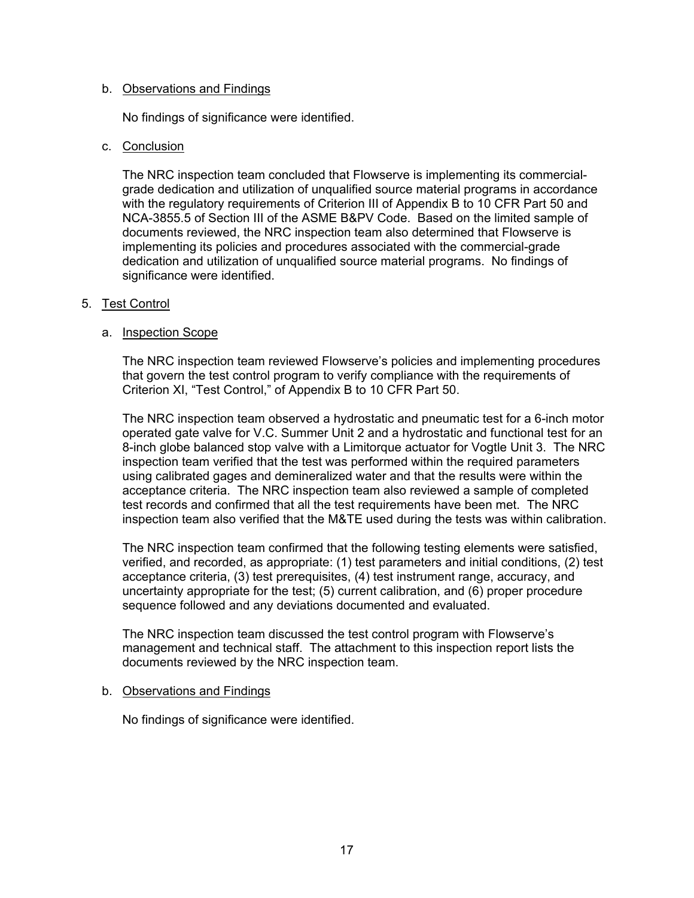#### b. Observations and Findings

No findings of significance were identified.

# c. Conclusion

The NRC inspection team concluded that Flowserve is implementing its commercialgrade dedication and utilization of unqualified source material programs in accordance with the regulatory requirements of Criterion III of Appendix B to 10 CFR Part 50 and NCA-3855.5 of Section III of the ASME B&PV Code. Based on the limited sample of documents reviewed, the NRC inspection team also determined that Flowserve is implementing its policies and procedures associated with the commercial-grade dedication and utilization of unqualified source material programs. No findings of significance were identified.

# 5. Test Control

# a. Inspection Scope

The NRC inspection team reviewed Flowserve's policies and implementing procedures that govern the test control program to verify compliance with the requirements of Criterion XI, "Test Control," of Appendix B to 10 CFR Part 50.

The NRC inspection team observed a hydrostatic and pneumatic test for a 6-inch motor operated gate valve for V.C. Summer Unit 2 and a hydrostatic and functional test for an 8-inch globe balanced stop valve with a Limitorque actuator for Vogtle Unit 3. The NRC inspection team verified that the test was performed within the required parameters using calibrated gages and demineralized water and that the results were within the acceptance criteria. The NRC inspection team also reviewed a sample of completed test records and confirmed that all the test requirements have been met. The NRC inspection team also verified that the M&TE used during the tests was within calibration.

The NRC inspection team confirmed that the following testing elements were satisfied, verified, and recorded, as appropriate: (1) test parameters and initial conditions, (2) test acceptance criteria, (3) test prerequisites, (4) test instrument range, accuracy, and uncertainty appropriate for the test; (5) current calibration, and (6) proper procedure sequence followed and any deviations documented and evaluated.

The NRC inspection team discussed the test control program with Flowserve's management and technical staff. The attachment to this inspection report lists the documents reviewed by the NRC inspection team.

#### b. Observations and Findings

No findings of significance were identified.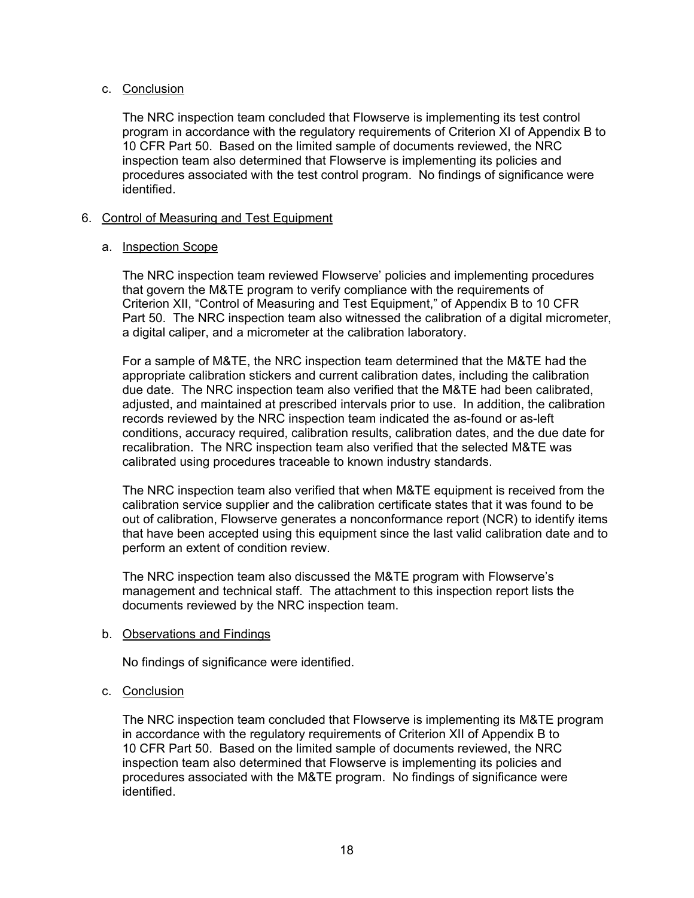# c. Conclusion

The NRC inspection team concluded that Flowserve is implementing its test control program in accordance with the regulatory requirements of Criterion XI of Appendix B to 10 CFR Part 50. Based on the limited sample of documents reviewed, the NRC inspection team also determined that Flowserve is implementing its policies and procedures associated with the test control program. No findings of significance were identified.

# 6. Control of Measuring and Test Equipment

#### a. Inspection Scope

The NRC inspection team reviewed Flowserve' policies and implementing procedures that govern the M&TE program to verify compliance with the requirements of Criterion XII, "Control of Measuring and Test Equipment," of Appendix B to 10 CFR Part 50. The NRC inspection team also witnessed the calibration of a digital micrometer, a digital caliper, and a micrometer at the calibration laboratory.

For a sample of M&TE, the NRC inspection team determined that the M&TE had the appropriate calibration stickers and current calibration dates, including the calibration due date. The NRC inspection team also verified that the M&TE had been calibrated, adjusted, and maintained at prescribed intervals prior to use. In addition, the calibration records reviewed by the NRC inspection team indicated the as-found or as-left conditions, accuracy required, calibration results, calibration dates, and the due date for recalibration. The NRC inspection team also verified that the selected M&TE was calibrated using procedures traceable to known industry standards.

The NRC inspection team also verified that when M&TE equipment is received from the calibration service supplier and the calibration certificate states that it was found to be out of calibration, Flowserve generates a nonconformance report (NCR) to identify items that have been accepted using this equipment since the last valid calibration date and to perform an extent of condition review.

The NRC inspection team also discussed the M&TE program with Flowserve's management and technical staff. The attachment to this inspection report lists the documents reviewed by the NRC inspection team.

#### b. Observations and Findings

No findings of significance were identified.

# c. Conclusion

The NRC inspection team concluded that Flowserve is implementing its M&TE program in accordance with the regulatory requirements of Criterion XII of Appendix B to 10 CFR Part 50. Based on the limited sample of documents reviewed, the NRC inspection team also determined that Flowserve is implementing its policies and procedures associated with the M&TE program. No findings of significance were identified.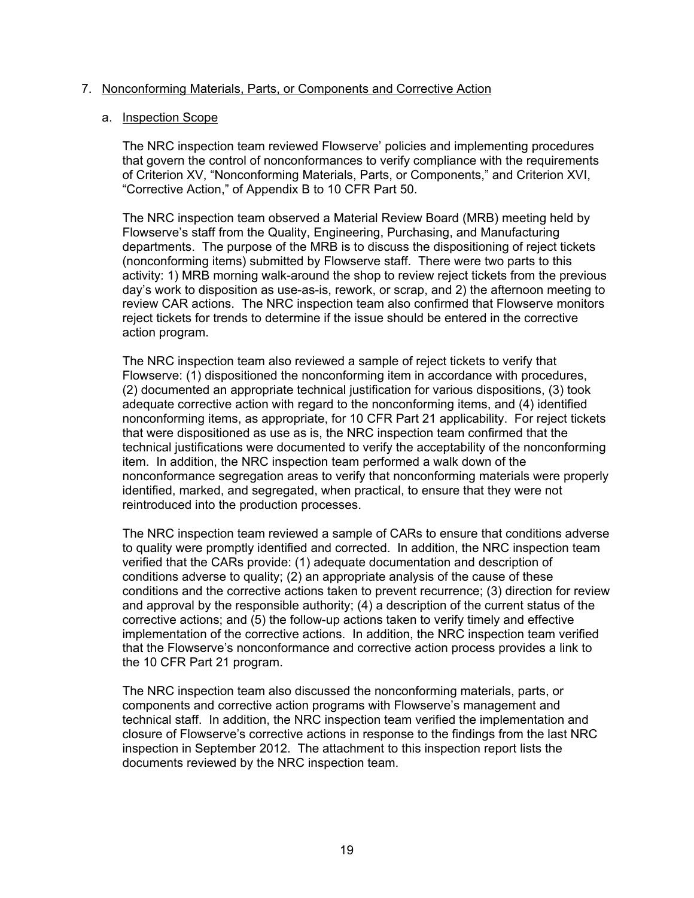# 7. Nonconforming Materials, Parts, or Components and Corrective Action

#### a. Inspection Scope

The NRC inspection team reviewed Flowserve' policies and implementing procedures that govern the control of nonconformances to verify compliance with the requirements of Criterion XV, "Nonconforming Materials, Parts, or Components," and Criterion XVI, "Corrective Action," of Appendix B to 10 CFR Part 50.

The NRC inspection team observed a Material Review Board (MRB) meeting held by Flowserve's staff from the Quality, Engineering, Purchasing, and Manufacturing departments. The purpose of the MRB is to discuss the dispositioning of reject tickets (nonconforming items) submitted by Flowserve staff. There were two parts to this activity: 1) MRB morning walk-around the shop to review reject tickets from the previous day's work to disposition as use-as-is, rework, or scrap, and 2) the afternoon meeting to review CAR actions. The NRC inspection team also confirmed that Flowserve monitors reject tickets for trends to determine if the issue should be entered in the corrective action program.

The NRC inspection team also reviewed a sample of reject tickets to verify that Flowserve: (1) dispositioned the nonconforming item in accordance with procedures, (2) documented an appropriate technical justification for various dispositions, (3) took adequate corrective action with regard to the nonconforming items, and (4) identified nonconforming items, as appropriate, for 10 CFR Part 21 applicability. For reject tickets that were dispositioned as use as is, the NRC inspection team confirmed that the technical justifications were documented to verify the acceptability of the nonconforming item. In addition, the NRC inspection team performed a walk down of the nonconformance segregation areas to verify that nonconforming materials were properly identified, marked, and segregated, when practical, to ensure that they were not reintroduced into the production processes.

The NRC inspection team reviewed a sample of CARs to ensure that conditions adverse to quality were promptly identified and corrected. In addition, the NRC inspection team verified that the CARs provide: (1) adequate documentation and description of conditions adverse to quality; (2) an appropriate analysis of the cause of these conditions and the corrective actions taken to prevent recurrence; (3) direction for review and approval by the responsible authority; (4) a description of the current status of the corrective actions; and (5) the follow-up actions taken to verify timely and effective implementation of the corrective actions. In addition, the NRC inspection team verified that the Flowserve's nonconformance and corrective action process provides a link to the 10 CFR Part 21 program.

The NRC inspection team also discussed the nonconforming materials, parts, or components and corrective action programs with Flowserve's management and technical staff. In addition, the NRC inspection team verified the implementation and closure of Flowserve's corrective actions in response to the findings from the last NRC inspection in September 2012. The attachment to this inspection report lists the documents reviewed by the NRC inspection team.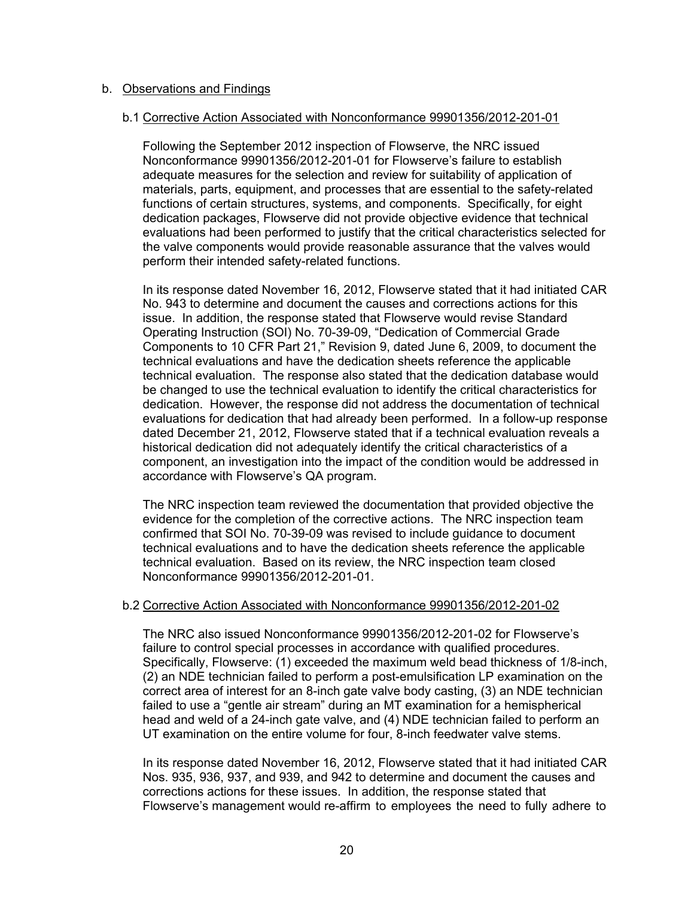#### b. Observations and Findings

#### b.1 Corrective Action Associated with Nonconformance 99901356/2012-201-01

Following the September 2012 inspection of Flowserve, the NRC issued Nonconformance 99901356/2012-201-01 for Flowserve's failure to establish adequate measures for the selection and review for suitability of application of materials, parts, equipment, and processes that are essential to the safety-related functions of certain structures, systems, and components. Specifically, for eight dedication packages, Flowserve did not provide objective evidence that technical evaluations had been performed to justify that the critical characteristics selected for the valve components would provide reasonable assurance that the valves would perform their intended safety-related functions.

In its response dated November 16, 2012, Flowserve stated that it had initiated CAR No. 943 to determine and document the causes and corrections actions for this issue. In addition, the response stated that Flowserve would revise Standard Operating Instruction (SOI) No. 70-39-09, "Dedication of Commercial Grade Components to 10 CFR Part 21," Revision 9, dated June 6, 2009, to document the technical evaluations and have the dedication sheets reference the applicable technical evaluation. The response also stated that the dedication database would be changed to use the technical evaluation to identify the critical characteristics for dedication. However, the response did not address the documentation of technical evaluations for dedication that had already been performed. In a follow-up response dated December 21, 2012, Flowserve stated that if a technical evaluation reveals a historical dedication did not adequately identify the critical characteristics of a component, an investigation into the impact of the condition would be addressed in accordance with Flowserve's QA program.

The NRC inspection team reviewed the documentation that provided objective the evidence for the completion of the corrective actions. The NRC inspection team confirmed that SOI No. 70-39-09 was revised to include guidance to document technical evaluations and to have the dedication sheets reference the applicable technical evaluation. Based on its review, the NRC inspection team closed Nonconformance 99901356/2012-201-01.

#### b.2 Corrective Action Associated with Nonconformance 99901356/2012-201-02

The NRC also issued Nonconformance 99901356/2012-201-02 for Flowserve's failure to control special processes in accordance with qualified procedures. Specifically, Flowserve: (1) exceeded the maximum weld bead thickness of 1/8-inch, (2) an NDE technician failed to perform a post-emulsification LP examination on the correct area of interest for an 8-inch gate valve body casting, (3) an NDE technician failed to use a "gentle air stream" during an MT examination for a hemispherical head and weld of a 24-inch gate valve, and (4) NDE technician failed to perform an UT examination on the entire volume for four, 8-inch feedwater valve stems.

In its response dated November 16, 2012, Flowserve stated that it had initiated CAR Nos. 935, 936, 937, and 939, and 942 to determine and document the causes and corrections actions for these issues. In addition, the response stated that Flowserve's management would re-affirm to employees the need to fully adhere to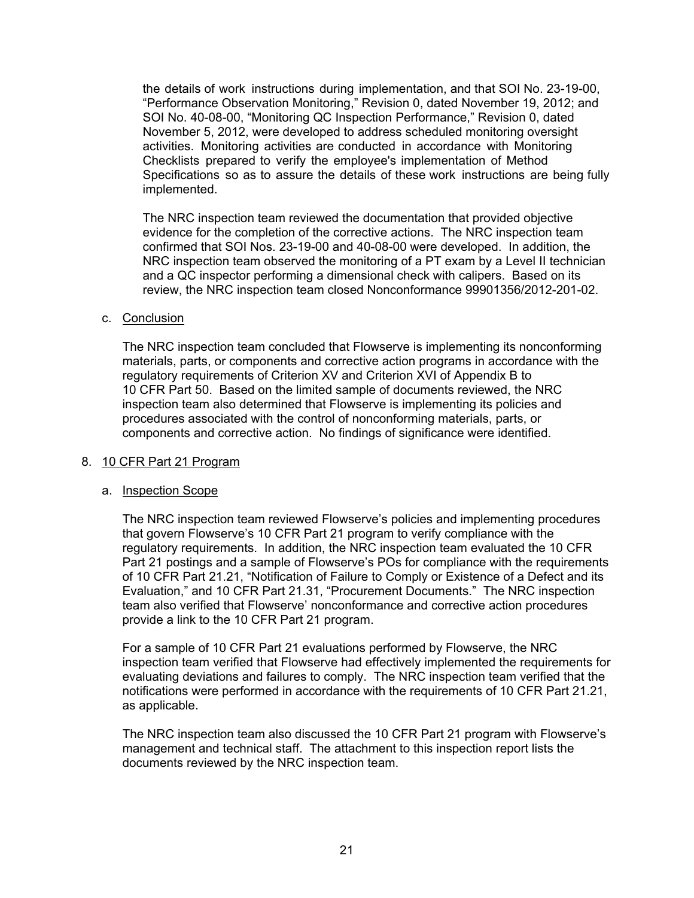the details of work instructions during implementation, and that SOI No. 23-19-00, "Performance Observation Monitoring," Revision 0, dated November 19, 2012; and SOI No. 40-08-00, "Monitoring QC Inspection Performance," Revision 0, dated November 5, 2012, were developed to address scheduled monitoring oversight activities. Monitoring activities are conducted in accordance with Monitoring Checklists prepared to verify the employee's implementation of Method Specifications so as to assure the details of these work instructions are being fully implemented.

The NRC inspection team reviewed the documentation that provided objective evidence for the completion of the corrective actions. The NRC inspection team confirmed that SOI Nos. 23-19-00 and 40-08-00 were developed. In addition, the NRC inspection team observed the monitoring of a PT exam by a Level II technician and a QC inspector performing a dimensional check with calipers. Based on its review, the NRC inspection team closed Nonconformance 99901356/2012-201-02.

# c. Conclusion

The NRC inspection team concluded that Flowserve is implementing its nonconforming materials, parts, or components and corrective action programs in accordance with the regulatory requirements of Criterion XV and Criterion XVI of Appendix B to 10 CFR Part 50. Based on the limited sample of documents reviewed, the NRC inspection team also determined that Flowserve is implementing its policies and procedures associated with the control of nonconforming materials, parts, or components and corrective action. No findings of significance were identified.

#### 8. 10 CFR Part 21 Program

#### a. Inspection Scope

The NRC inspection team reviewed Flowserve's policies and implementing procedures that govern Flowserve's 10 CFR Part 21 program to verify compliance with the regulatory requirements. In addition, the NRC inspection team evaluated the 10 CFR Part 21 postings and a sample of Flowserve's POs for compliance with the requirements of 10 CFR Part 21.21, "Notification of Failure to Comply or Existence of a Defect and its Evaluation," and 10 CFR Part 21.31, "Procurement Documents." The NRC inspection team also verified that Flowserve' nonconformance and corrective action procedures provide a link to the 10 CFR Part 21 program.

For a sample of 10 CFR Part 21 evaluations performed by Flowserve, the NRC inspection team verified that Flowserve had effectively implemented the requirements for evaluating deviations and failures to comply. The NRC inspection team verified that the notifications were performed in accordance with the requirements of 10 CFR Part 21.21, as applicable.

The NRC inspection team also discussed the 10 CFR Part 21 program with Flowserve's management and technical staff. The attachment to this inspection report lists the documents reviewed by the NRC inspection team.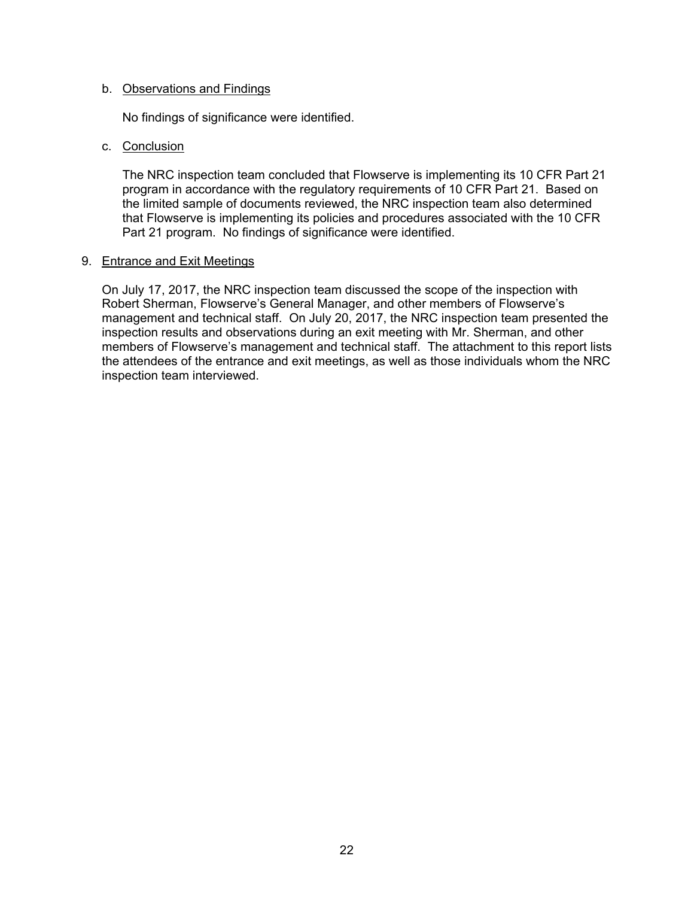## b. Observations and Findings

No findings of significance were identified.

# c. Conclusion

The NRC inspection team concluded that Flowserve is implementing its 10 CFR Part 21 program in accordance with the regulatory requirements of 10 CFR Part 21. Based on the limited sample of documents reviewed, the NRC inspection team also determined that Flowserve is implementing its policies and procedures associated with the 10 CFR Part 21 program. No findings of significance were identified.

#### 9. Entrance and Exit Meetings

On July 17, 2017, the NRC inspection team discussed the scope of the inspection with Robert Sherman, Flowserve's General Manager, and other members of Flowserve's management and technical staff. On July 20, 2017, the NRC inspection team presented the inspection results and observations during an exit meeting with Mr. Sherman, and other members of Flowserve's management and technical staff. The attachment to this report lists the attendees of the entrance and exit meetings, as well as those individuals whom the NRC inspection team interviewed.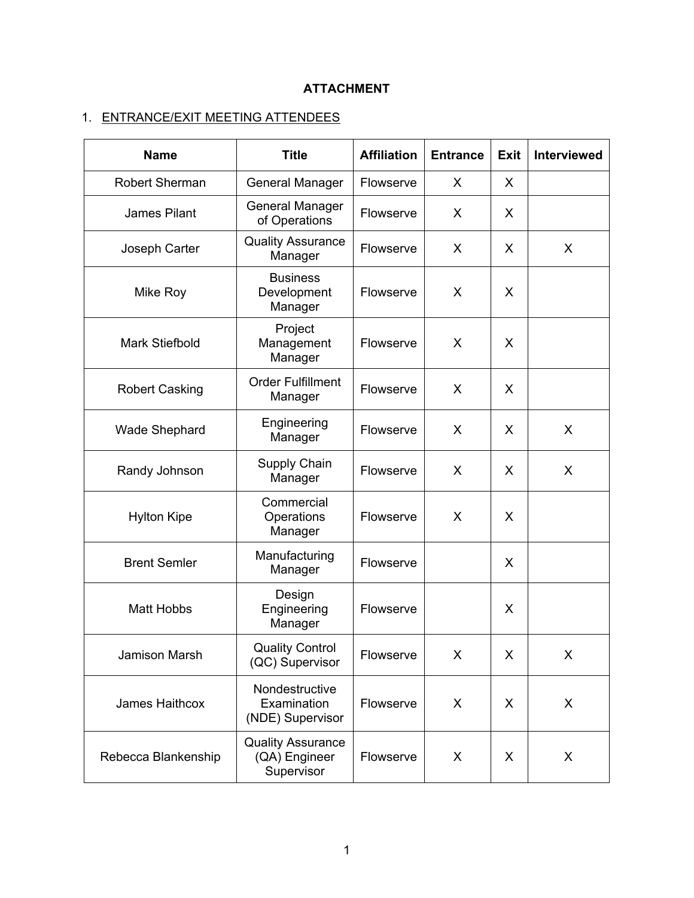# **ATTACHMENT**

# 1. ENTRANCE/EXIT MEETING ATTENDEES

| <b>Name</b>           | <b>Title</b>                                            | <b>Affiliation</b> | <b>Entrance</b> | <b>Exit</b> | <b>Interviewed</b> |
|-----------------------|---------------------------------------------------------|--------------------|-----------------|-------------|--------------------|
| <b>Robert Sherman</b> | <b>General Manager</b>                                  | Flowserve          | X               | X           |                    |
| James Pilant          | <b>General Manager</b><br>of Operations                 | Flowserve          | X               | X           |                    |
| Joseph Carter         | <b>Quality Assurance</b><br>Manager                     | Flowserve          | X               | X           | X                  |
| Mike Roy              | <b>Business</b><br>Development<br>Manager               | Flowserve          | X               | X           |                    |
| <b>Mark Stiefbold</b> | Project<br>Management<br>Manager                        | Flowserve          | X               | X           |                    |
| <b>Robert Casking</b> | <b>Order Fulfillment</b><br>Manager                     | Flowserve          | X               | X           |                    |
| <b>Wade Shephard</b>  | Engineering<br>Manager                                  | Flowserve          | X               | X           | X                  |
| Randy Johnson         | Supply Chain<br>Manager                                 | Flowserve          | X               | X           | X                  |
| <b>Hylton Kipe</b>    | Commercial<br>Operations<br>Manager                     | Flowserve          | X               | X           |                    |
| <b>Brent Semler</b>   | Manufacturing<br>Manager                                | Flowserve          |                 | X           |                    |
| <b>Matt Hobbs</b>     | Design<br>Engineering<br>Manager                        | Flowserve          |                 | X           |                    |
| Jamison Marsh         | <b>Quality Control</b><br>(QC) Supervisor               | Flowserve          | X               | X           | X                  |
| James Haithcox        | Nondestructive<br>Examination<br>(NDE) Supervisor       | Flowserve          | X               | X           | X                  |
| Rebecca Blankenship   | <b>Quality Assurance</b><br>(QA) Engineer<br>Supervisor | Flowserve          | X               | X           | X                  |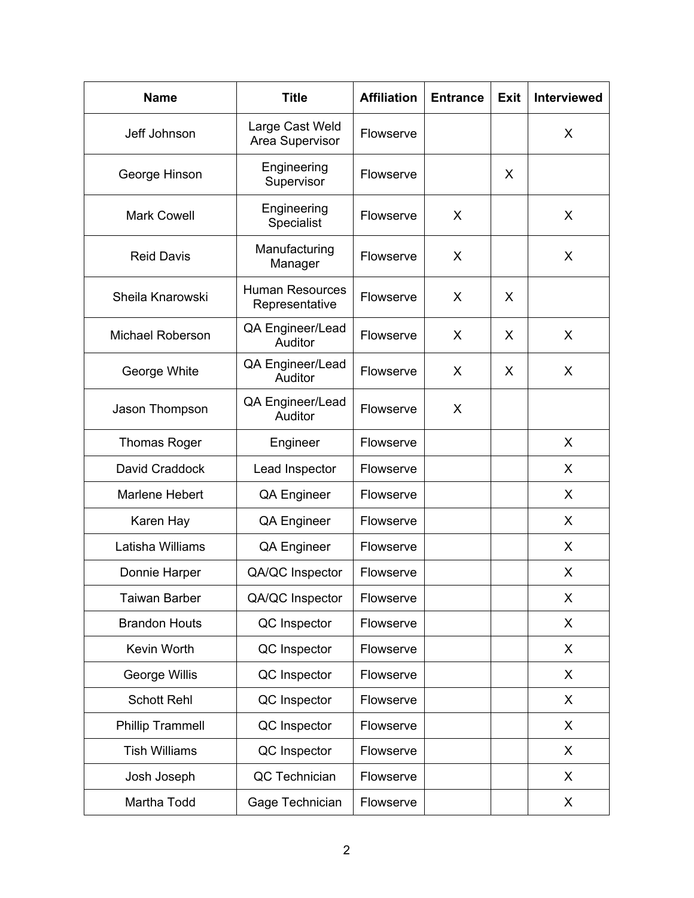| <b>Name</b>             | <b>Title</b>                             | <b>Affiliation</b> | <b>Entrance</b> | Exit | <b>Interviewed</b> |
|-------------------------|------------------------------------------|--------------------|-----------------|------|--------------------|
| Jeff Johnson            | Large Cast Weld<br>Area Supervisor       | Flowserve          |                 |      | X                  |
| George Hinson           | Engineering<br>Supervisor                | Flowserve          |                 | X    |                    |
| <b>Mark Cowell</b>      | Engineering<br>Specialist                | Flowserve          | X               |      | X                  |
| <b>Reid Davis</b>       | Manufacturing<br>Manager                 | Flowserve          | X               |      | X                  |
| Sheila Knarowski        | <b>Human Resources</b><br>Representative | Flowserve          | X               | X    |                    |
| <b>Michael Roberson</b> | QA Engineer/Lead<br>Auditor              | Flowserve          | X               | X    | X                  |
| George White            | QA Engineer/Lead<br>Auditor              | Flowserve          | X               | X    | X                  |
| Jason Thompson          | QA Engineer/Lead<br>Auditor              | Flowserve          | X               |      |                    |
| <b>Thomas Roger</b>     | Engineer                                 | Flowserve          |                 |      | X                  |
| David Craddock          | Lead Inspector                           | Flowserve          |                 |      | X                  |
| <b>Marlene Hebert</b>   | <b>QA Engineer</b>                       | Flowserve          |                 |      | X                  |
| Karen Hay               | QA Engineer                              | Flowserve          |                 |      | X                  |
| Latisha Williams        | QA Engineer                              | Flowserve          |                 |      | X                  |
| Donnie Harper           | QA/QC Inspector                          | Flowserve          |                 |      | X                  |
| <b>Taiwan Barber</b>    | QA/QC Inspector                          | Flowserve          |                 |      | X                  |
| <b>Brandon Houts</b>    | QC Inspector                             | Flowserve          |                 |      | X                  |
| Kevin Worth             | QC Inspector                             | Flowserve          |                 |      | X                  |
| George Willis           | QC Inspector                             | Flowserve          |                 |      | X                  |
| <b>Schott Rehl</b>      | QC Inspector                             | Flowserve          |                 |      | X                  |
| <b>Phillip Trammell</b> | QC Inspector                             | Flowserve          |                 |      | X                  |
| <b>Tish Williams</b>    | QC Inspector                             | Flowserve          |                 |      | X                  |
| Josh Joseph             | QC Technician                            | Flowserve          |                 |      | X                  |
| Martha Todd             | Gage Technician                          | Flowserve          |                 |      | X                  |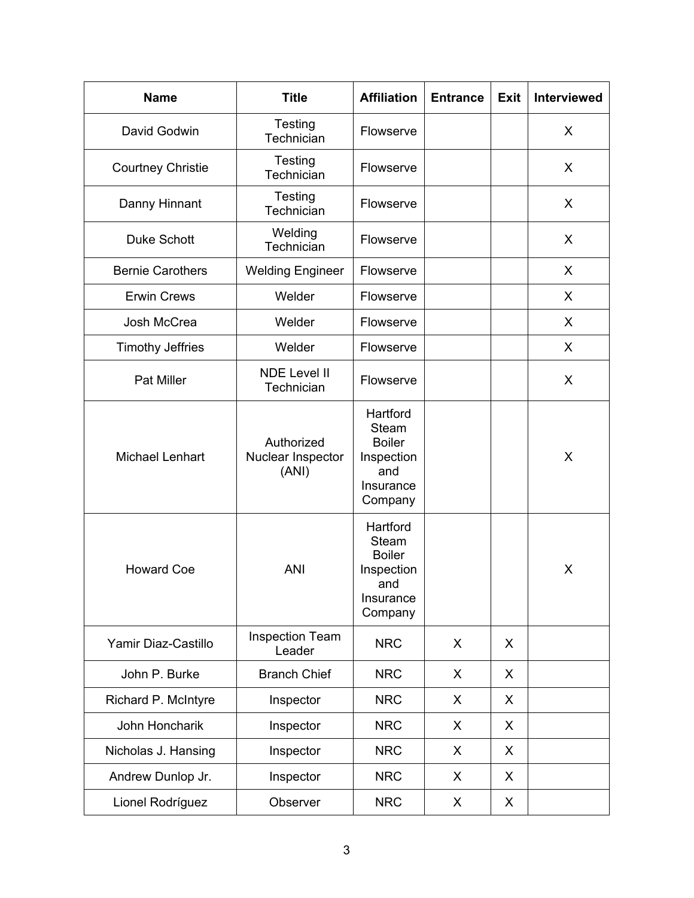| <b>Name</b>              | <b>Title</b>                             | <b>Affiliation</b>                                                                     | <b>Entrance</b> | <b>Exit</b> | <b>Interviewed</b> |
|--------------------------|------------------------------------------|----------------------------------------------------------------------------------------|-----------------|-------------|--------------------|
| David Godwin             | <b>Testing</b><br>Technician             | Flowserve                                                                              |                 |             | X                  |
| <b>Courtney Christie</b> | Testing<br>Technician                    | Flowserve                                                                              |                 |             | X                  |
| Danny Hinnant            | Testing<br>Technician                    | Flowserve                                                                              |                 |             | X                  |
| <b>Duke Schott</b>       | Welding<br>Technician                    | Flowserve                                                                              |                 |             | X                  |
| <b>Bernie Carothers</b>  | <b>Welding Engineer</b>                  | Flowserve                                                                              |                 |             | X                  |
| <b>Erwin Crews</b>       | Welder                                   | Flowserve                                                                              |                 |             | X                  |
| Josh McCrea              | Welder                                   | Flowserve                                                                              |                 |             | X                  |
| <b>Timothy Jeffries</b>  | Welder                                   | Flowserve                                                                              |                 |             | X                  |
| <b>Pat Miller</b>        | <b>NDE Level II</b><br>Technician        | Flowserve                                                                              |                 |             | X                  |
| <b>Michael Lenhart</b>   | Authorized<br>Nuclear Inspector<br>(ANI) | Hartford<br><b>Steam</b><br><b>Boiler</b><br>Inspection<br>and<br>Insurance<br>Company |                 |             | X                  |
| <b>Howard Coe</b>        | <b>ANI</b>                               | Hartford<br><b>Steam</b><br><b>Boiler</b><br>Inspection<br>and<br>Insurance<br>Company |                 |             | X                  |
| Yamir Diaz-Castillo      | <b>Inspection Team</b><br>Leader         | <b>NRC</b>                                                                             | X               | X           |                    |
| John P. Burke            | <b>Branch Chief</b>                      | <b>NRC</b>                                                                             | X               | X           |                    |
| Richard P. McIntyre      | Inspector                                | <b>NRC</b>                                                                             | X               | X           |                    |
| John Honcharik           | Inspector                                | <b>NRC</b>                                                                             | X               | X           |                    |
| Nicholas J. Hansing      | Inspector                                | <b>NRC</b>                                                                             | X               | X           |                    |
| Andrew Dunlop Jr.        | Inspector                                | <b>NRC</b>                                                                             | X               | X           |                    |
| Lionel Rodríguez         | Observer                                 | <b>NRC</b>                                                                             | X               | X           |                    |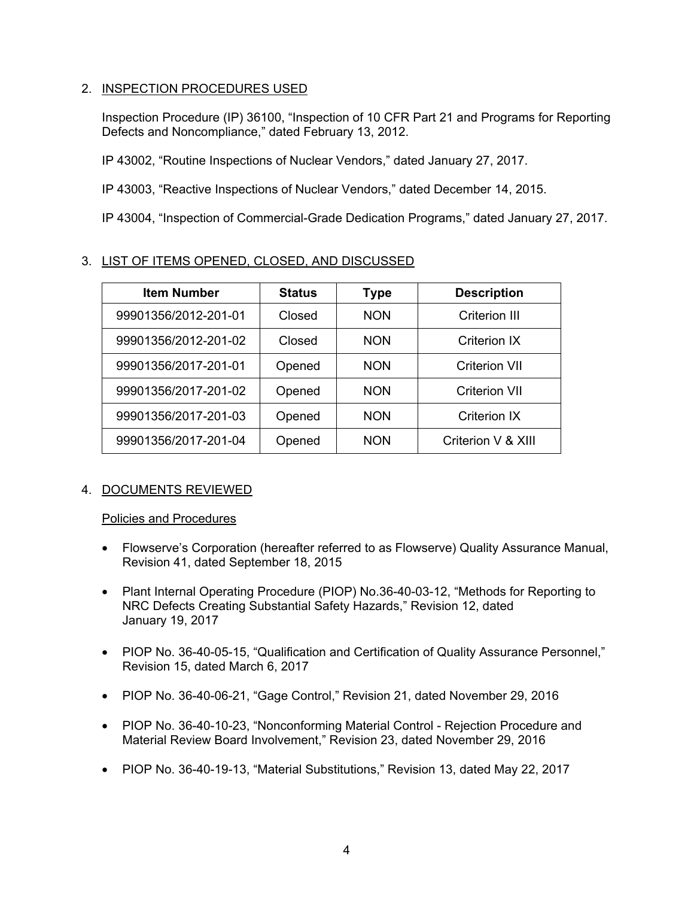# 2. INSPECTION PROCEDURES USED

Inspection Procedure (IP) 36100, "Inspection of 10 CFR Part 21 and Programs for Reporting Defects and Noncompliance," dated February 13, 2012.

IP 43002, "Routine Inspections of Nuclear Vendors," dated January 27, 2017.

IP 43003, "Reactive Inspections of Nuclear Vendors," dated December 14, 2015.

IP 43004, "Inspection of Commercial-Grade Dedication Programs," dated January 27, 2017.

# 3. LIST OF ITEMS OPENED, CLOSED, AND DISCUSSED

| <b>Item Number</b>   | <b>Status</b> | Type       | <b>Description</b>   |
|----------------------|---------------|------------|----------------------|
| 99901356/2012-201-01 | Closed        | <b>NON</b> | <b>Criterion III</b> |
| 99901356/2012-201-02 | Closed        | <b>NON</b> | Criterion IX         |
| 99901356/2017-201-01 | Opened        | <b>NON</b> | <b>Criterion VII</b> |
| 99901356/2017-201-02 | Opened        | <b>NON</b> | <b>Criterion VII</b> |
| 99901356/2017-201-03 | Opened        | <b>NON</b> | Criterion IX         |
| 99901356/2017-201-04 | Opened        | <b>NON</b> | Criterion V & XIII   |

# 4. DOCUMENTS REVIEWED

# Policies and Procedures

- Flowserve's Corporation (hereafter referred to as Flowserve) Quality Assurance Manual, Revision 41, dated September 18, 2015
- Plant Internal Operating Procedure (PIOP) No.36-40-03-12, "Methods for Reporting to NRC Defects Creating Substantial Safety Hazards," Revision 12, dated January 19, 2017
- PIOP No. 36-40-05-15, "Qualification and Certification of Quality Assurance Personnel," Revision 15, dated March 6, 2017
- PIOP No. 36-40-06-21, "Gage Control," Revision 21, dated November 29, 2016
- PIOP No. 36-40-10-23, "Nonconforming Material Control Rejection Procedure and Material Review Board Involvement," Revision 23, dated November 29, 2016
- PIOP No. 36-40-19-13, "Material Substitutions," Revision 13, dated May 22, 2017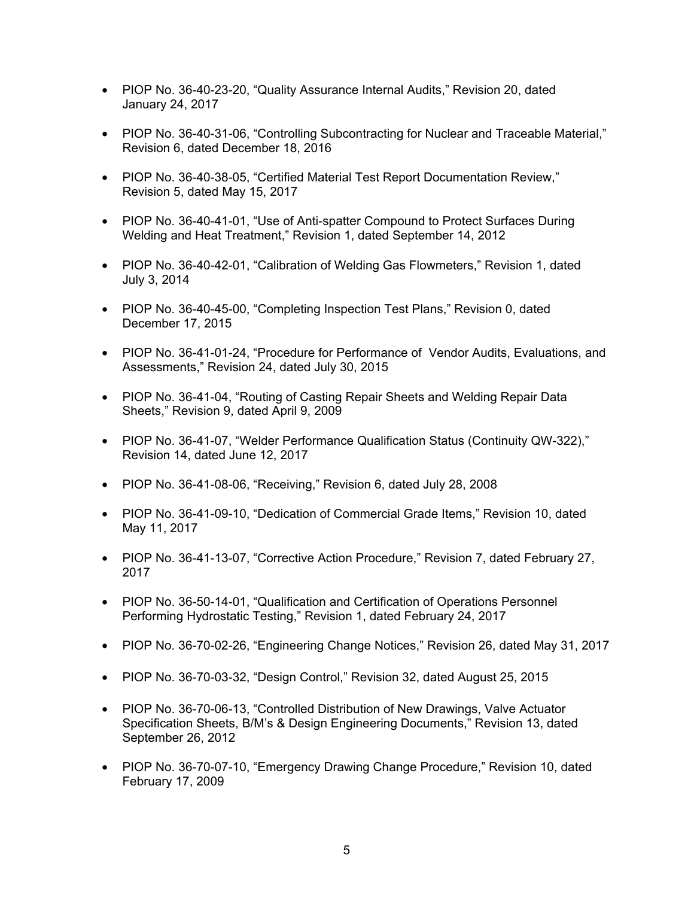- PIOP No. 36-40-23-20, "Quality Assurance Internal Audits," Revision 20, dated January 24, 2017
- PIOP No. 36-40-31-06, "Controlling Subcontracting for Nuclear and Traceable Material," Revision 6, dated December 18, 2016
- PIOP No. 36-40-38-05, "Certified Material Test Report Documentation Review," Revision 5, dated May 15, 2017
- PIOP No. 36-40-41-01, "Use of Anti-spatter Compound to Protect Surfaces During Welding and Heat Treatment," Revision 1, dated September 14, 2012
- PIOP No. 36-40-42-01, "Calibration of Welding Gas Flowmeters," Revision 1, dated July 3, 2014
- PIOP No. 36-40-45-00, "Completing Inspection Test Plans," Revision 0, dated December 17, 2015
- PIOP No. 36-41-01-24, "Procedure for Performance of Vendor Audits, Evaluations, and Assessments," Revision 24, dated July 30, 2015
- PIOP No. 36-41-04, "Routing of Casting Repair Sheets and Welding Repair Data Sheets," Revision 9, dated April 9, 2009
- PIOP No. 36-41-07, "Welder Performance Qualification Status (Continuity QW-322)," Revision 14, dated June 12, 2017
- PIOP No. 36-41-08-06, "Receiving," Revision 6, dated July 28, 2008
- PIOP No. 36-41-09-10, "Dedication of Commercial Grade Items," Revision 10, dated May 11, 2017
- PIOP No. 36-41-13-07, "Corrective Action Procedure," Revision 7, dated February 27, 2017
- PIOP No. 36-50-14-01, "Qualification and Certification of Operations Personnel Performing Hydrostatic Testing," Revision 1, dated February 24, 2017
- PIOP No. 36-70-02-26, "Engineering Change Notices," Revision 26, dated May 31, 2017
- PIOP No. 36-70-03-32, "Design Control," Revision 32, dated August 25, 2015
- PIOP No. 36-70-06-13, "Controlled Distribution of New Drawings, Valve Actuator Specification Sheets, B/M's & Design Engineering Documents," Revision 13, dated September 26, 2012
- PIOP No. 36-70-07-10, "Emergency Drawing Change Procedure," Revision 10, dated February 17, 2009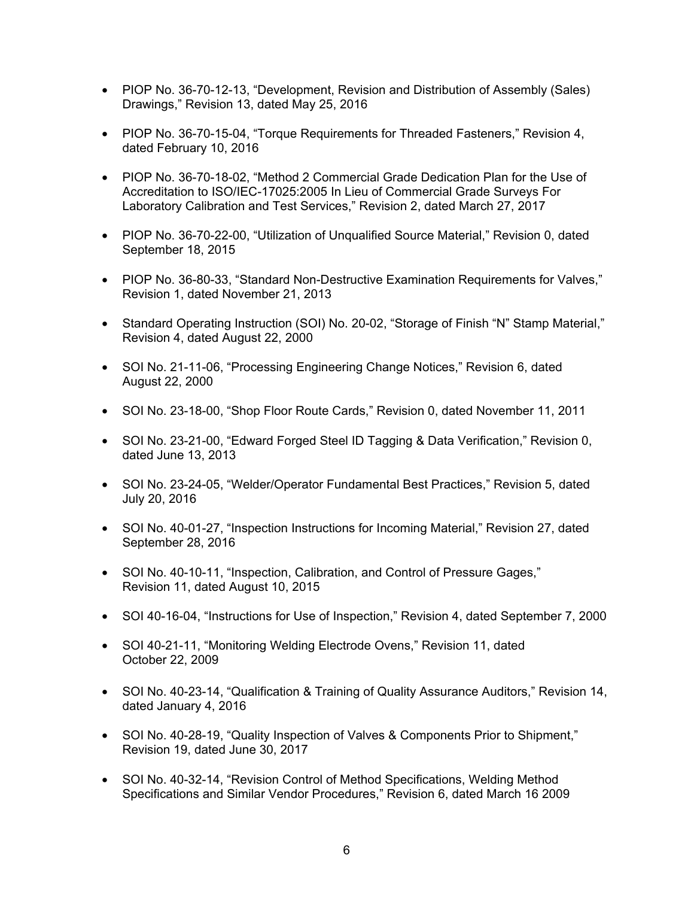- PIOP No. 36-70-12-13, "Development, Revision and Distribution of Assembly (Sales) Drawings," Revision 13, dated May 25, 2016
- PIOP No. 36-70-15-04, "Torque Requirements for Threaded Fasteners," Revision 4, dated February 10, 2016
- PIOP No. 36-70-18-02, "Method 2 Commercial Grade Dedication Plan for the Use of Accreditation to ISO/IEC-17025:2005 In Lieu of Commercial Grade Surveys For Laboratory Calibration and Test Services," Revision 2, dated March 27, 2017
- PIOP No. 36-70-22-00, "Utilization of Unqualified Source Material," Revision 0, dated September 18, 2015
- PIOP No. 36-80-33, "Standard Non-Destructive Examination Requirements for Valves," Revision 1, dated November 21, 2013
- Standard Operating Instruction (SOI) No. 20-02, "Storage of Finish "N" Stamp Material," Revision 4, dated August 22, 2000
- SOI No. 21-11-06, "Processing Engineering Change Notices," Revision 6, dated August 22, 2000
- SOI No. 23-18-00, "Shop Floor Route Cards," Revision 0, dated November 11, 2011
- SOI No. 23-21-00, "Edward Forged Steel ID Tagging & Data Verification," Revision 0, dated June 13, 2013
- SOI No. 23-24-05, "Welder/Operator Fundamental Best Practices," Revision 5, dated July 20, 2016
- SOI No. 40-01-27, "Inspection Instructions for Incoming Material," Revision 27, dated September 28, 2016
- SOI No. 40-10-11, "Inspection, Calibration, and Control of Pressure Gages," Revision 11, dated August 10, 2015
- SOI 40-16-04, "Instructions for Use of Inspection," Revision 4, dated September 7, 2000
- SOI 40-21-11, "Monitoring Welding Electrode Ovens," Revision 11, dated October 22, 2009
- SOI No. 40-23-14, "Qualification & Training of Quality Assurance Auditors," Revision 14, dated January 4, 2016
- SOI No. 40-28-19, "Quality Inspection of Valves & Components Prior to Shipment," Revision 19, dated June 30, 2017
- SOI No. 40-32-14, "Revision Control of Method Specifications, Welding Method Specifications and Similar Vendor Procedures," Revision 6, dated March 16 2009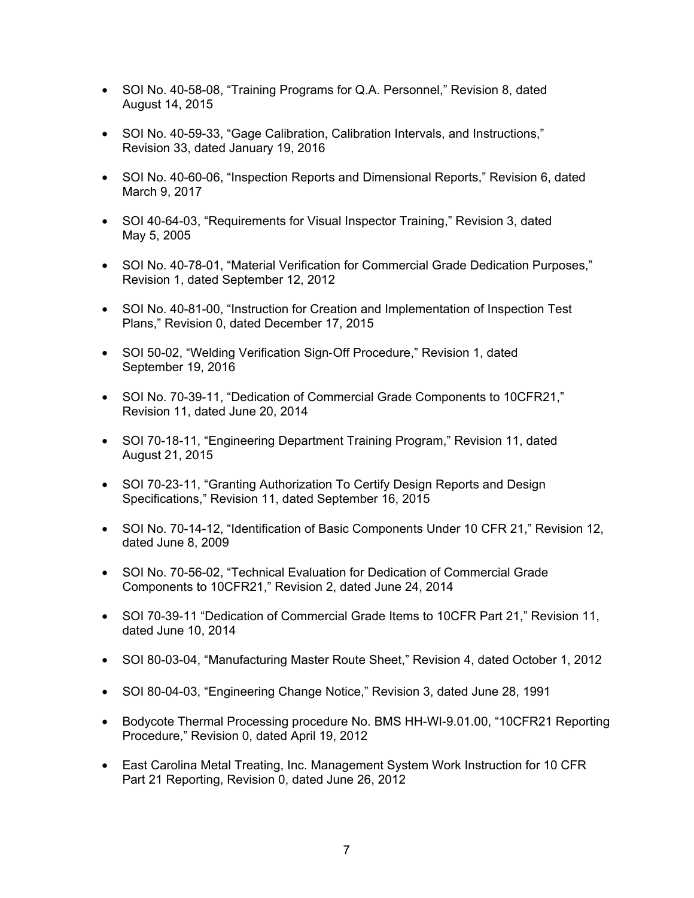- SOI No. 40-58-08, "Training Programs for Q.A. Personnel," Revision 8, dated August 14, 2015
- SOI No. 40-59-33, "Gage Calibration, Calibration Intervals, and Instructions," Revision 33, dated January 19, 2016
- SOI No. 40-60-06, "Inspection Reports and Dimensional Reports," Revision 6, dated March 9, 2017
- SOI 40-64-03, "Requirements for Visual Inspector Training," Revision 3, dated May 5, 2005
- SOI No. 40-78-01, "Material Verification for Commercial Grade Dedication Purposes," Revision 1, dated September 12, 2012
- SOI No. 40-81-00, "Instruction for Creation and Implementation of Inspection Test Plans," Revision 0, dated December 17, 2015
- SOI 50-02, "Welding Verification Sign‐Off Procedure," Revision 1, dated September 19, 2016
- SOI No. 70-39-11, "Dedication of Commercial Grade Components to 10CFR21," Revision 11, dated June 20, 2014
- SOI 70-18-11, "Engineering Department Training Program," Revision 11, dated August 21, 2015
- SOI 70-23-11, "Granting Authorization To Certify Design Reports and Design Specifications," Revision 11, dated September 16, 2015
- SOI No. 70-14-12, "Identification of Basic Components Under 10 CFR 21," Revision 12, dated June 8, 2009
- SOI No. 70-56-02, "Technical Evaluation for Dedication of Commercial Grade Components to 10CFR21," Revision 2, dated June 24, 2014
- SOI 70-39-11 "Dedication of Commercial Grade Items to 10CFR Part 21," Revision 11, dated June 10, 2014
- SOI 80-03-04, "Manufacturing Master Route Sheet," Revision 4, dated October 1, 2012
- SOI 80-04-03, "Engineering Change Notice," Revision 3, dated June 28, 1991
- Bodycote Thermal Processing procedure No. BMS HH-WI-9.01.00, "10CFR21 Reporting Procedure," Revision 0, dated April 19, 2012
- East Carolina Metal Treating, Inc. Management System Work Instruction for 10 CFR Part 21 Reporting, Revision 0, dated June 26, 2012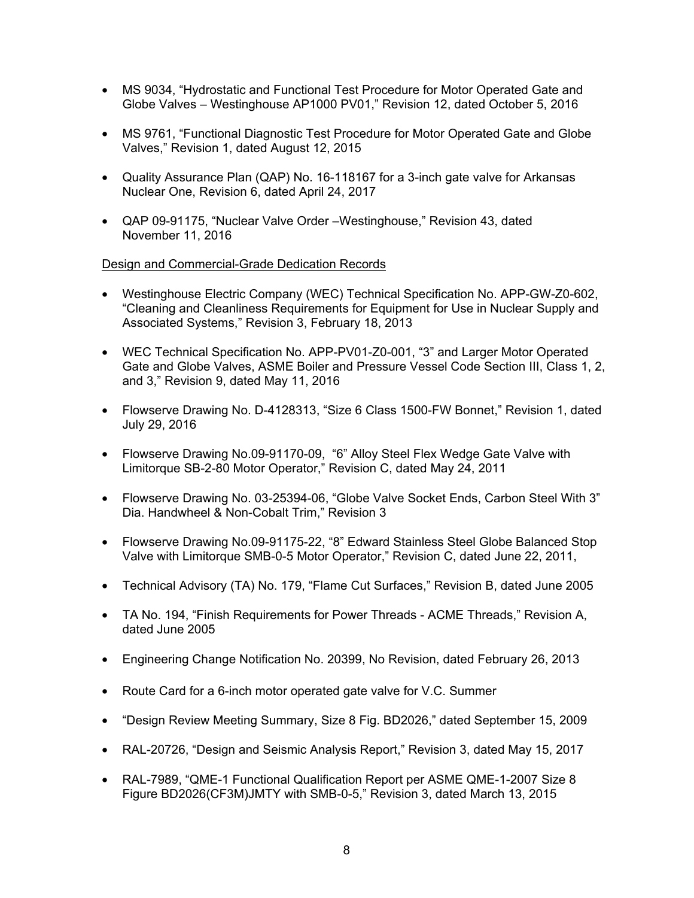- MS 9034, "Hydrostatic and Functional Test Procedure for Motor Operated Gate and Globe Valves – Westinghouse AP1000 PV01," Revision 12, dated October 5, 2016
- MS 9761, "Functional Diagnostic Test Procedure for Motor Operated Gate and Globe Valves," Revision 1, dated August 12, 2015
- Quality Assurance Plan (QAP) No. 16-118167 for a 3-inch gate valve for Arkansas Nuclear One, Revision 6, dated April 24, 2017
- QAP 09-91175, "Nuclear Valve Order –Westinghouse," Revision 43, dated November 11, 2016

# Design and Commercial-Grade Dedication Records

- Westinghouse Electric Company (WEC) Technical Specification No. APP-GW-Z0-602, "Cleaning and Cleanliness Requirements for Equipment for Use in Nuclear Supply and Associated Systems," Revision 3, February 18, 2013
- WEC Technical Specification No. APP-PV01-Z0-001, "3" and Larger Motor Operated Gate and Globe Valves, ASME Boiler and Pressure Vessel Code Section III, Class 1, 2, and 3," Revision 9, dated May 11, 2016
- Flowserve Drawing No. D-4128313, "Size 6 Class 1500-FW Bonnet," Revision 1, dated July 29, 2016
- Flowserve Drawing No.09-91170-09, "6" Alloy Steel Flex Wedge Gate Valve with Limitorque SB-2-80 Motor Operator," Revision C, dated May 24, 2011
- Flowserve Drawing No. 03-25394-06, "Globe Valve Socket Ends, Carbon Steel With 3" Dia. Handwheel & Non-Cobalt Trim," Revision 3
- Flowserve Drawing No.09-91175-22, "8" Edward Stainless Steel Globe Balanced Stop Valve with Limitorque SMB-0-5 Motor Operator," Revision C, dated June 22, 2011,
- Technical Advisory (TA) No. 179, "Flame Cut Surfaces," Revision B, dated June 2005
- TA No. 194, "Finish Requirements for Power Threads ACME Threads," Revision A, dated June 2005
- Engineering Change Notification No. 20399, No Revision, dated February 26, 2013
- Route Card for a 6-inch motor operated gate valve for V.C. Summer
- "Design Review Meeting Summary, Size 8 Fig. BD2026," dated September 15, 2009
- RAL-20726, "Design and Seismic Analysis Report," Revision 3, dated May 15, 2017
- RAL-7989, "QME-1 Functional Qualification Report per ASME QME-1-2007 Size 8 Figure BD2026(CF3M)JMTY with SMB-0-5," Revision 3, dated March 13, 2015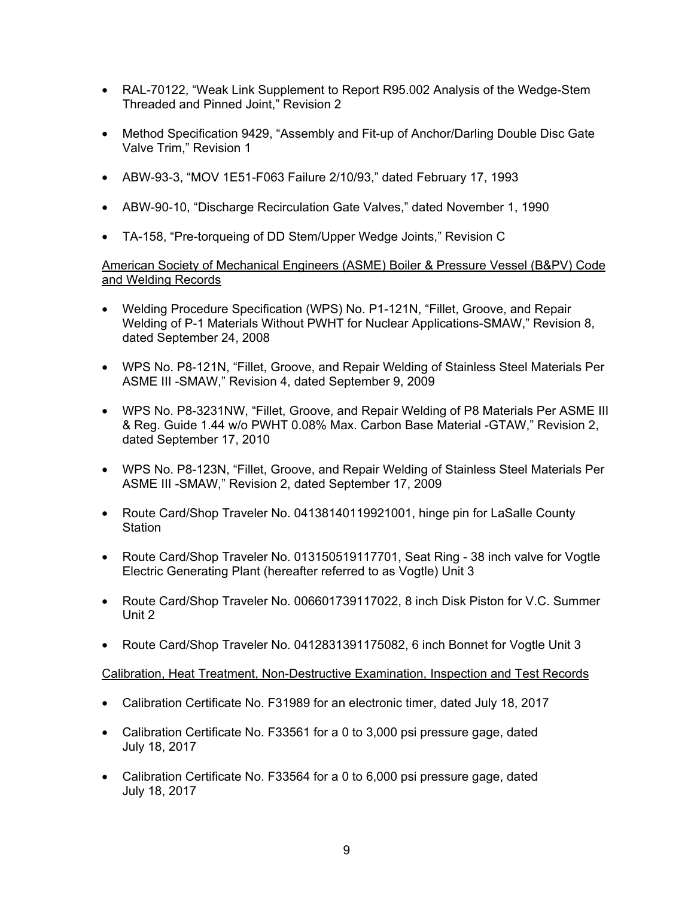- RAL-70122, "Weak Link Supplement to Report R95.002 Analysis of the Wedge-Stem Threaded and Pinned Joint," Revision 2
- Method Specification 9429, "Assembly and Fit-up of Anchor/Darling Double Disc Gate Valve Trim," Revision 1
- ABW-93-3, "MOV 1E51-F063 Failure 2/10/93," dated February 17, 1993
- ABW-90-10, "Discharge Recirculation Gate Valves," dated November 1, 1990
- TA-158, "Pre-torqueing of DD Stem/Upper Wedge Joints," Revision C

American Society of Mechanical Engineers (ASME) Boiler & Pressure Vessel (B&PV) Code and Welding Records

- Welding Procedure Specification (WPS) No. P1-121N, "Fillet, Groove, and Repair Welding of P-1 Materials Without PWHT for Nuclear Applications-SMAW," Revision 8, dated September 24, 2008
- WPS No. P8-121N, "Fillet, Groove, and Repair Welding of Stainless Steel Materials Per ASME III -SMAW," Revision 4, dated September 9, 2009
- WPS No. P8-3231NW, "Fillet, Groove, and Repair Welding of P8 Materials Per ASME III & Reg. Guide 1.44 w/o PWHT 0.08% Max. Carbon Base Material -GTAW," Revision 2, dated September 17, 2010
- WPS No. P8-123N, "Fillet, Groove, and Repair Welding of Stainless Steel Materials Per ASME III -SMAW," Revision 2, dated September 17, 2009
- Route Card/Shop Traveler No. 04138140119921001, hinge pin for LaSalle County **Station**
- Route Card/Shop Traveler No. 013150519117701, Seat Ring 38 inch valve for Vogtle Electric Generating Plant (hereafter referred to as Vogtle) Unit 3
- Route Card/Shop Traveler No. 006601739117022, 8 inch Disk Piston for V.C. Summer Unit 2
- Route Card/Shop Traveler No. 0412831391175082, 6 inch Bonnet for Vogtle Unit 3

#### Calibration, Heat Treatment, Non-Destructive Examination, Inspection and Test Records

- Calibration Certificate No. F31989 for an electronic timer, dated July 18, 2017
- Calibration Certificate No. F33561 for a 0 to 3,000 psi pressure gage, dated July 18, 2017
- Calibration Certificate No. F33564 for a 0 to 6,000 psi pressure gage, dated July 18, 2017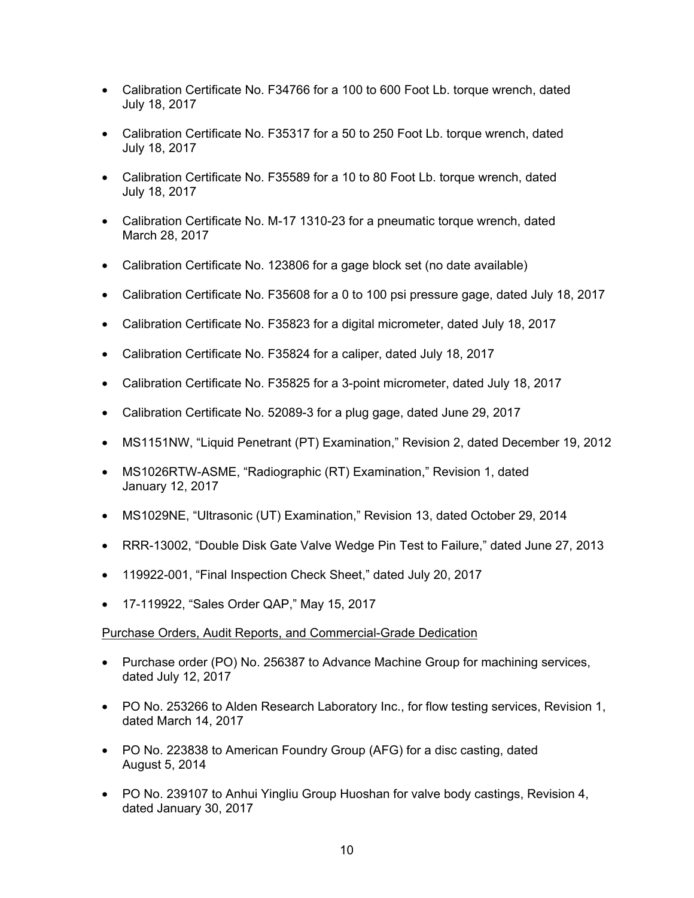- Calibration Certificate No. F34766 for a 100 to 600 Foot Lb. torque wrench, dated July 18, 2017
- Calibration Certificate No. F35317 for a 50 to 250 Foot Lb. torque wrench, dated July 18, 2017
- Calibration Certificate No. F35589 for a 10 to 80 Foot Lb. torque wrench, dated July 18, 2017
- Calibration Certificate No. M-17 1310-23 for a pneumatic torque wrench, dated March 28, 2017
- Calibration Certificate No. 123806 for a gage block set (no date available)
- Calibration Certificate No. F35608 for a 0 to 100 psi pressure gage, dated July 18, 2017
- Calibration Certificate No. F35823 for a digital micrometer, dated July 18, 2017
- Calibration Certificate No. F35824 for a caliper, dated July 18, 2017
- Calibration Certificate No. F35825 for a 3-point micrometer, dated July 18, 2017
- Calibration Certificate No. 52089-3 for a plug gage, dated June 29, 2017
- MS1151NW, "Liquid Penetrant (PT) Examination," Revision 2, dated December 19, 2012
- MS1026RTW-ASME, "Radiographic (RT) Examination," Revision 1, dated January 12, 2017
- MS1029NE, "Ultrasonic (UT) Examination," Revision 13, dated October 29, 2014
- RRR-13002, "Double Disk Gate Valve Wedge Pin Test to Failure," dated June 27, 2013
- 119922-001, "Final Inspection Check Sheet," dated July 20, 2017
- 17-119922, "Sales Order QAP," May 15, 2017

# Purchase Orders, Audit Reports, and Commercial-Grade Dedication

- Purchase order (PO) No. 256387 to Advance Machine Group for machining services, dated July 12, 2017
- PO No. 253266 to Alden Research Laboratory Inc., for flow testing services, Revision 1, dated March 14, 2017
- PO No. 223838 to American Foundry Group (AFG) for a disc casting, dated August 5, 2014
- PO No. 239107 to Anhui Yingliu Group Huoshan for valve body castings, Revision 4, dated January 30, 2017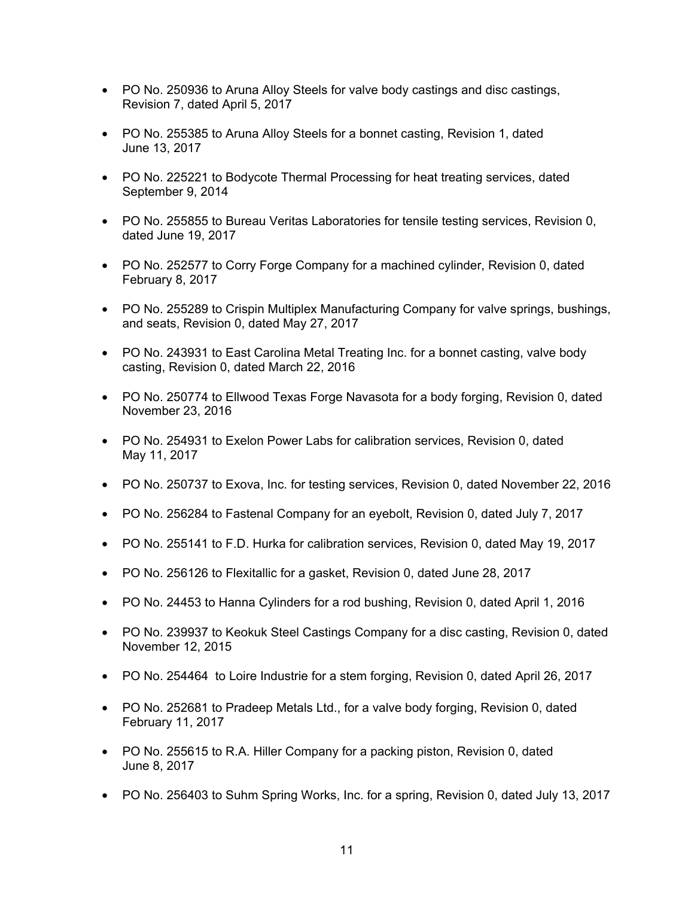- PO No. 250936 to Aruna Alloy Steels for valve body castings and disc castings, Revision 7, dated April 5, 2017
- PO No. 255385 to Aruna Alloy Steels for a bonnet casting, Revision 1, dated June 13, 2017
- PO No. 225221 to Bodycote Thermal Processing for heat treating services, dated September 9, 2014
- PO No. 255855 to Bureau Veritas Laboratories for tensile testing services, Revision 0, dated June 19, 2017
- PO No. 252577 to Corry Forge Company for a machined cylinder, Revision 0, dated February 8, 2017
- PO No. 255289 to Crispin Multiplex Manufacturing Company for valve springs, bushings, and seats, Revision 0, dated May 27, 2017
- PO No. 243931 to East Carolina Metal Treating Inc. for a bonnet casting, valve body casting, Revision 0, dated March 22, 2016
- PO No. 250774 to Ellwood Texas Forge Navasota for a body forging, Revision 0, dated November 23, 2016
- PO No. 254931 to Exelon Power Labs for calibration services, Revision 0, dated May 11, 2017
- PO No. 250737 to Exova, Inc. for testing services, Revision 0, dated November 22, 2016
- PO No. 256284 to Fastenal Company for an eyebolt, Revision 0, dated July 7, 2017
- PO No. 255141 to F.D. Hurka for calibration services, Revision 0, dated May 19, 2017
- PO No. 256126 to Flexitallic for a gasket, Revision 0, dated June 28, 2017
- PO No. 24453 to Hanna Cylinders for a rod bushing, Revision 0, dated April 1, 2016
- PO No. 239937 to Keokuk Steel Castings Company for a disc casting, Revision 0, dated November 12, 2015
- PO No. 254464 to Loire Industrie for a stem forging, Revision 0, dated April 26, 2017
- PO No. 252681 to Pradeep Metals Ltd., for a valve body forging, Revision 0, dated February 11, 2017
- PO No. 255615 to R.A. Hiller Company for a packing piston, Revision 0, dated June 8, 2017
- PO No. 256403 to Suhm Spring Works, Inc. for a spring, Revision 0, dated July 13, 2017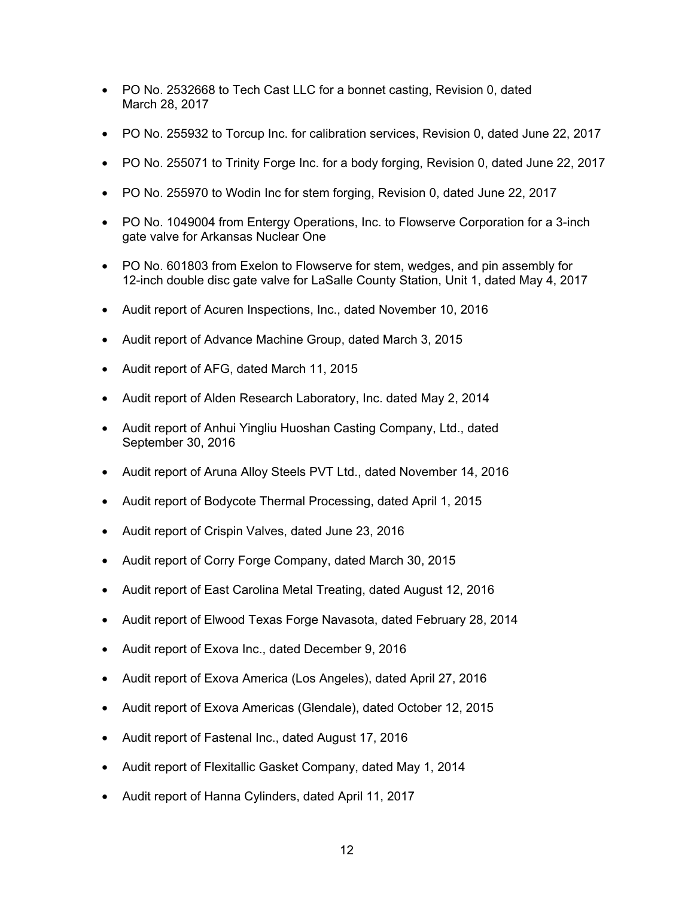- PO No. 2532668 to Tech Cast LLC for a bonnet casting, Revision 0, dated March 28, 2017
- PO No. 255932 to Torcup Inc. for calibration services, Revision 0, dated June 22, 2017
- PO No. 255071 to Trinity Forge Inc. for a body forging, Revision 0, dated June 22, 2017
- PO No. 255970 to Wodin Inc for stem forging, Revision 0, dated June 22, 2017
- PO No. 1049004 from Entergy Operations, Inc. to Flowserve Corporation for a 3-inch gate valve for Arkansas Nuclear One
- PO No. 601803 from Exelon to Flowserve for stem, wedges, and pin assembly for 12-inch double disc gate valve for LaSalle County Station, Unit 1, dated May 4, 2017
- Audit report of Acuren Inspections, Inc., dated November 10, 2016
- Audit report of Advance Machine Group, dated March 3, 2015
- Audit report of AFG, dated March 11, 2015
- Audit report of Alden Research Laboratory, Inc. dated May 2, 2014
- Audit report of Anhui Yingliu Huoshan Casting Company, Ltd., dated September 30, 2016
- Audit report of Aruna Alloy Steels PVT Ltd., dated November 14, 2016
- Audit report of Bodycote Thermal Processing, dated April 1, 2015
- Audit report of Crispin Valves, dated June 23, 2016
- Audit report of Corry Forge Company, dated March 30, 2015
- Audit report of East Carolina Metal Treating, dated August 12, 2016
- Audit report of Elwood Texas Forge Navasota, dated February 28, 2014
- Audit report of Exova Inc., dated December 9, 2016
- Audit report of Exova America (Los Angeles), dated April 27, 2016
- Audit report of Exova Americas (Glendale), dated October 12, 2015
- Audit report of Fastenal Inc., dated August 17, 2016
- Audit report of Flexitallic Gasket Company, dated May 1, 2014
- Audit report of Hanna Cylinders, dated April 11, 2017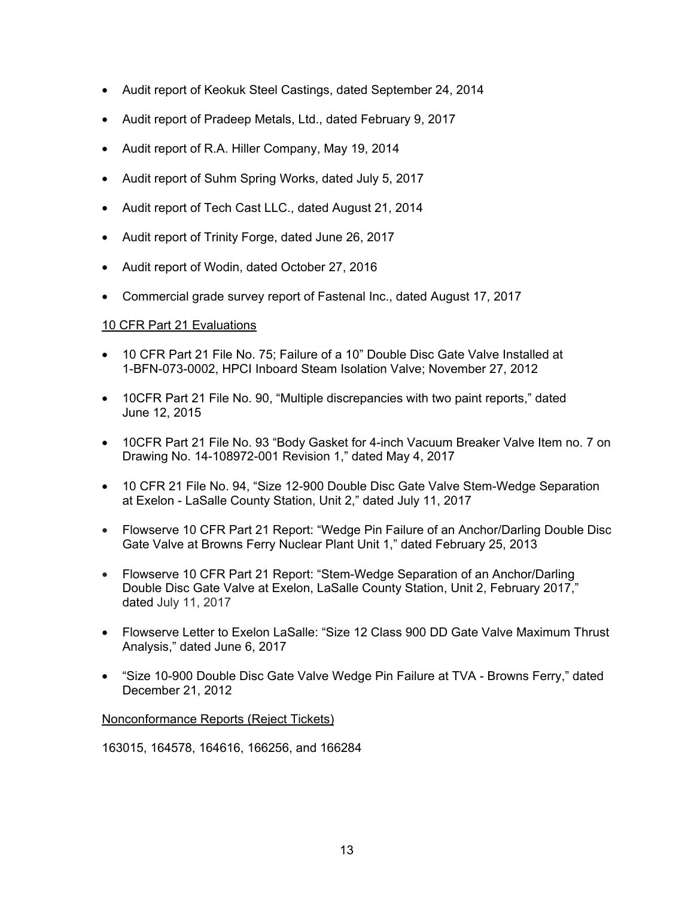- Audit report of Keokuk Steel Castings, dated September 24, 2014
- Audit report of Pradeep Metals, Ltd., dated February 9, 2017
- Audit report of R.A. Hiller Company, May 19, 2014
- Audit report of Suhm Spring Works, dated July 5, 2017
- Audit report of Tech Cast LLC., dated August 21, 2014
- Audit report of Trinity Forge, dated June 26, 2017
- Audit report of Wodin, dated October 27, 2016
- Commercial grade survey report of Fastenal Inc., dated August 17, 2017

# 10 CFR Part 21 Evaluations

- 10 CFR Part 21 File No. 75; Failure of a 10" Double Disc Gate Valve Installed at 1-BFN-073-0002, HPCI Inboard Steam Isolation Valve; November 27, 2012
- 10CFR Part 21 File No. 90, "Multiple discrepancies with two paint reports," dated June 12, 2015
- 10CFR Part 21 File No. 93 "Body Gasket for 4-inch Vacuum Breaker Valve Item no. 7 on Drawing No. 14-108972-001 Revision 1," dated May 4, 2017
- 10 CFR 21 File No. 94, "Size 12-900 Double Disc Gate Valve Stem-Wedge Separation at Exelon - LaSalle County Station, Unit 2," dated July 11, 2017
- Flowserve 10 CFR Part 21 Report: "Wedge Pin Failure of an Anchor/Darling Double Disc Gate Valve at Browns Ferry Nuclear Plant Unit 1," dated February 25, 2013
- Flowserve 10 CFR Part 21 Report: "Stem-Wedge Separation of an Anchor/Darling Double Disc Gate Valve at Exelon, LaSalle County Station, Unit 2, February 2017," dated July 11, 2017
- Flowserve Letter to Exelon LaSalle: "Size 12 Class 900 DD Gate Valve Maximum Thrust Analysis," dated June 6, 2017
- "Size 10-900 Double Disc Gate Valve Wedge Pin Failure at TVA Browns Ferry," dated December 21, 2012

Nonconformance Reports (Reject Tickets)

163015, 164578, 164616, 166256, and 166284